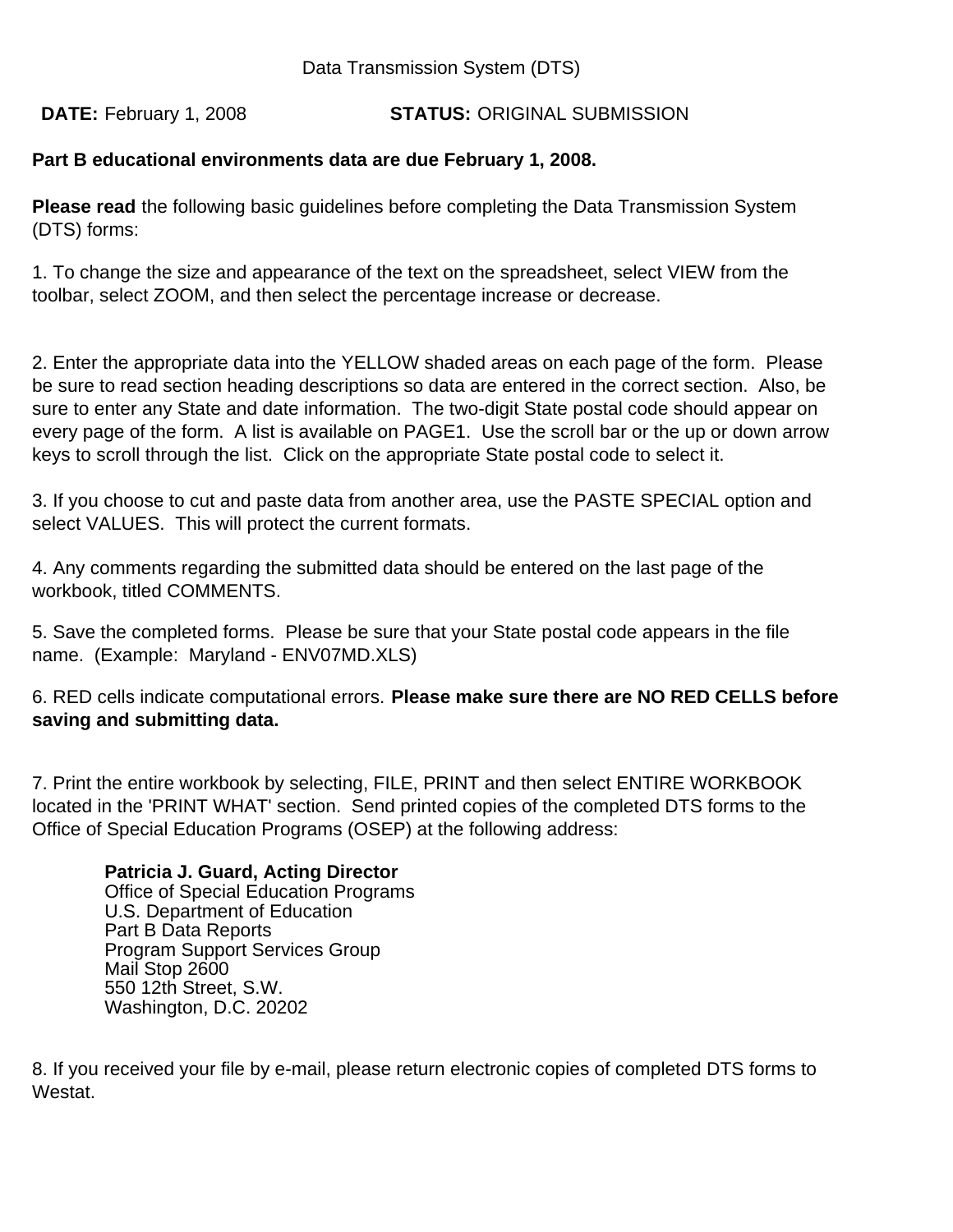Data Transmission System (DTS)

**STATUS: ORIGINAL SUBMISSION** DATE: February 1, 2008

# **Part B educational environments data are due February 1, 2008.**

**Please read** the following basic guidelines before completing the Data Transmission System (DTS) forms:

1. To change the size and appearance of the text on the spreadsheet, select VIEW from the toolbar, select ZOOM, and then select the percentage increase or decrease.

2. Enter the appropriate data into the YELLOW shaded areas on each page of the form. Please be sure to read section heading descriptions so data are entered in the correct section. Also, be sure to enter any State and date information. The two-digit State postal code should appear on every page of the form. A list is available on PAGE1. Use the scroll bar or the up or down arrow keys to scroll through the list. Click on the appropriate State postal code to select it.

3. If you choose to cut and paste data from another area, use the PASTE SPECIAL option and select VALUES. This will protect the current formats.

4. Any comments regarding the submitted data should be entered on the last page of the workbook, titled COMMENTS.

5. Save the completed forms. Please be sure that your State postal code appears in the file name. (Example: Maryland - ENV07MD.XLS)

6. RED cells indicate computational errors. **Please make sure there are NO RED CELLS before saving and submitting data.** 

7. Print the entire workbook by selecting, FILE, PRINT and then select ENTIRE WORKBOOK located in the 'PRINT WHAT' section. Send printed copies of the completed DTS forms to the Office of Special Education Programs (OSEP) at the following address:

# **Patricia J. Guard, Acting Director**

Office of Special Education Programs U.S. Department of Education Part B Data Reports Program Support Services Group Mail Stop 2600 550 12th Street, S.W. Washington, D.C. 20202

8. If you received your file by e-mail, please return electronic copies of completed DTS forms to Westat.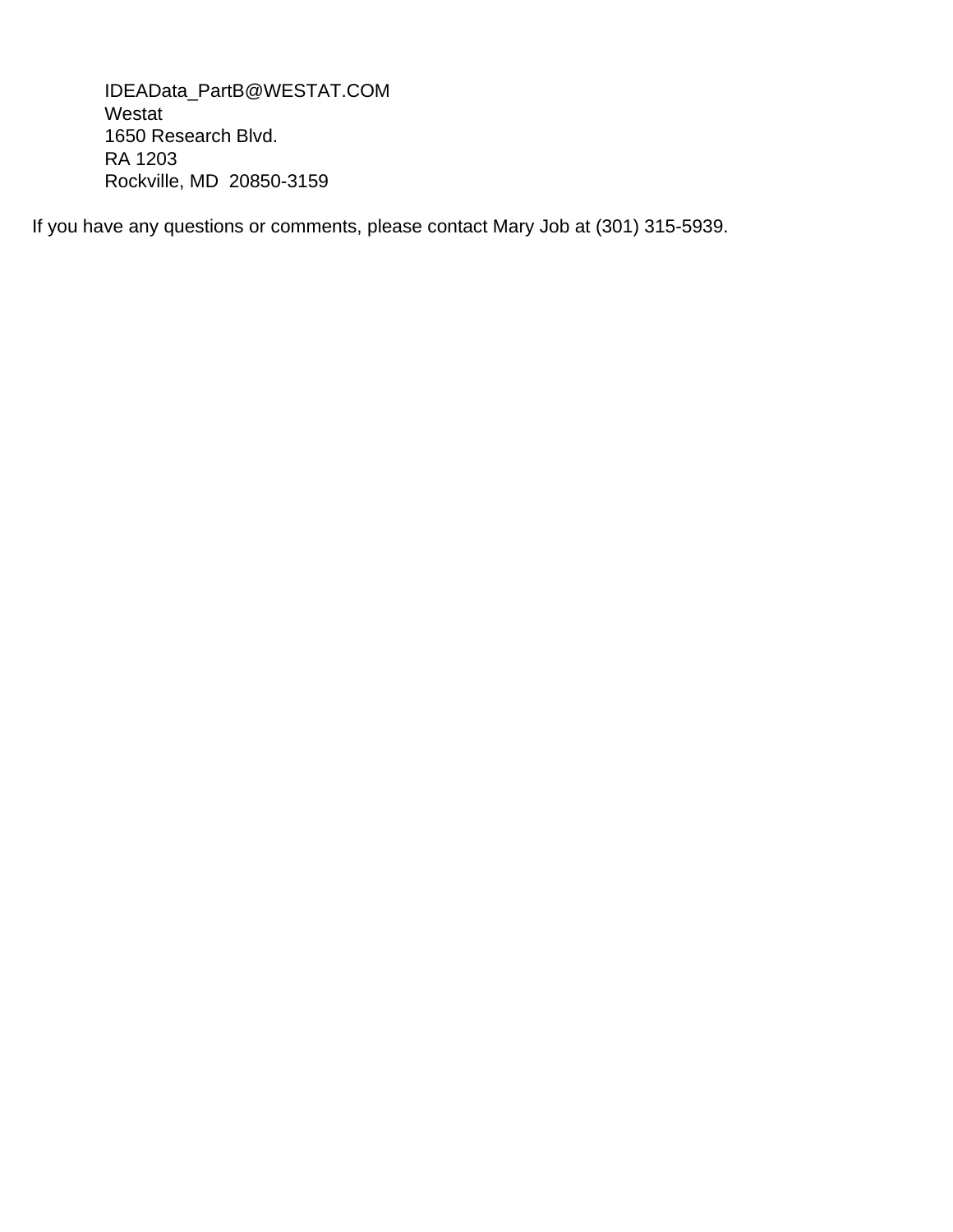IDEAData\_PartB@WESTAT.COM Westat 1650 Research Blvd. RA 1203 Rockville, MD 20850-3159

If you have any questions or comments, please contact Mary Job at (301) 315-5939.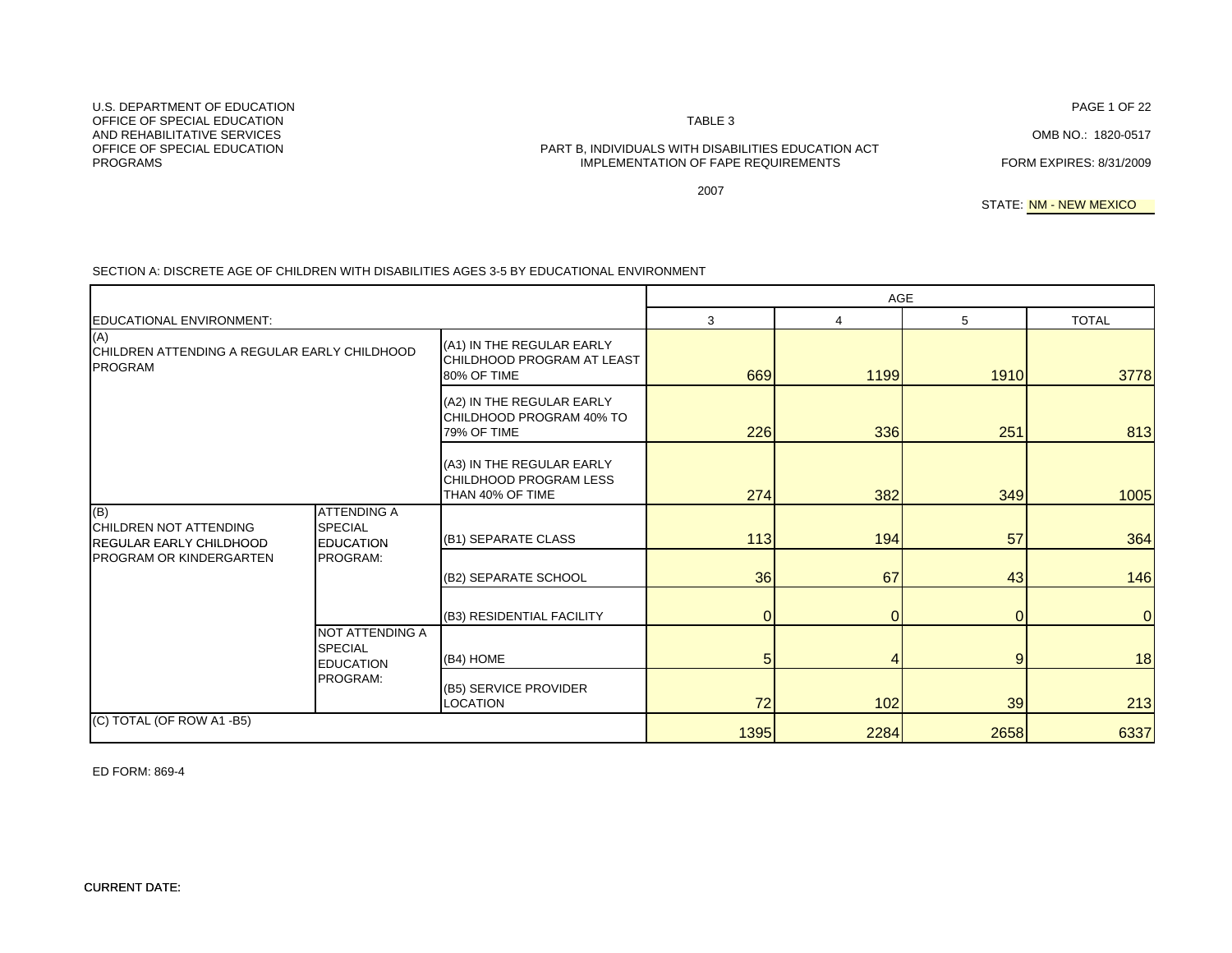# TABLE 3 PART B, INDIVIDUALS WITH DISABILITIES EDUCATION ACT

PAGE 1 OF 22

IMPLEMENTATION OF FAPE REQUIREMENTS FORM EXPIRES: 8/31/2009

2007

STATE: <mark>NM - NEW MEXICO</mark>

|                                                                       |                                                          |                                                                         | AGE            |                |                |                |
|-----------------------------------------------------------------------|----------------------------------------------------------|-------------------------------------------------------------------------|----------------|----------------|----------------|----------------|
| <b>EDUCATIONAL ENVIRONMENT:</b>                                       |                                                          |                                                                         | 3              | 4              | 5              | <b>TOTAL</b>   |
| (A)<br>CHILDREN ATTENDING A REGULAR EARLY CHILDHOOD<br><b>PROGRAM</b> |                                                          | (A1) IN THE REGULAR EARLY<br>CHILDHOOD PROGRAM AT LEAST<br>80% OF TIME  | 669            | 1199           | 1910           | 3778           |
|                                                                       |                                                          | (A2) IN THE REGULAR EARLY<br>CHILDHOOD PROGRAM 40% TO<br>79% OF TIME    | 226            | 336            | 251            | 813            |
|                                                                       |                                                          | (A3) IN THE REGULAR EARLY<br>CHILDHOOD PROGRAM LESS<br>THAN 40% OF TIME | 274            | 382            | 349            | 1005           |
| (B)<br>CHILDREN NOT ATTENDING<br>REGULAR EARLY CHILDHOOD              | <b>ATTENDING A</b><br><b>SPECIAL</b><br><b>EDUCATION</b> | (B1) SEPARATE CLASS                                                     | 113            | 194            | 57             | 364            |
| PROGRAM OR KINDERGARTEN                                               | PROGRAM:                                                 | (B2) SEPARATE SCHOOL                                                    | 36             | 67             | 43             | 146            |
|                                                                       |                                                          | (B3) RESIDENTIAL FACILITY                                               | $\overline{0}$ | $\overline{0}$ | $\Omega$       | $\overline{0}$ |
|                                                                       | NOT ATTENDING A<br><b>SPECIAL</b><br><b>EDUCATION</b>    | (B4) HOME                                                               | 5              | 4              | $\overline{9}$ | 18             |
|                                                                       | PROGRAM:                                                 | (B5) SERVICE PROVIDER<br>LOCATION                                       | 72             | 102            | 39             | 213            |
| (C) TOTAL (OF ROW A1 -B5)                                             |                                                          |                                                                         | 1395           | 2284           | 2658           | 6337           |

# SECTION A: DISCRETE AGE OF CHILDREN WITH DISABILITIES AGES 3-5 BY EDUCATIONAL ENVIRONMENT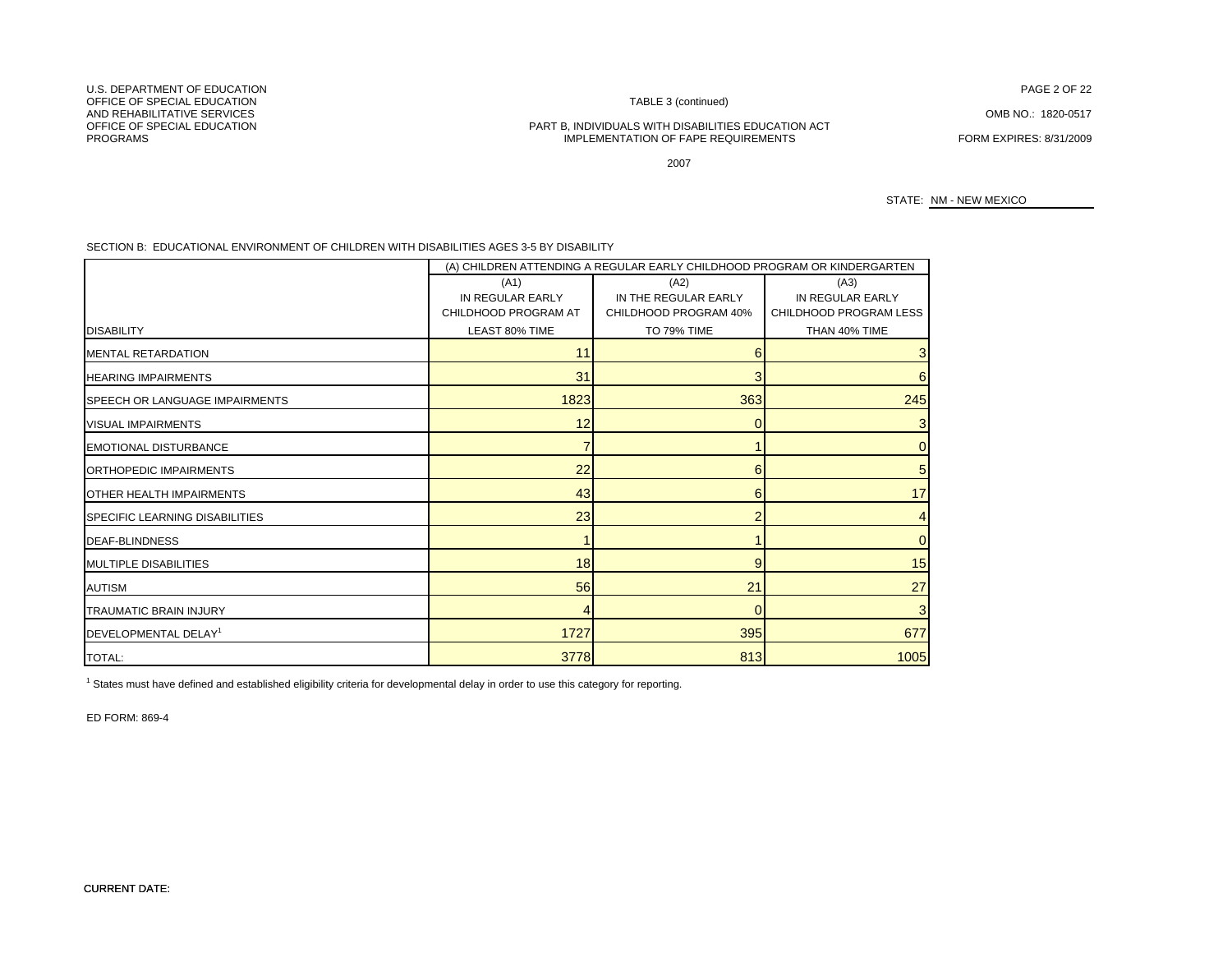U.S. DEPARTMENT OF EDUCATIONOFFICE OF SPECIAL EDUCATIONAND REHABILITATIVE SERVICESAND REHABILITATIVE SERVICES COMBINO.: 1820-0517<br>OFFICE OF SPECIAL EDUCATION COMBINO COMBINO.: 1820-0517 PROGRAMS

TABLE 3 (continued)

#### PART B, INDIVIDUALS WITH DISABILITIES EDUCATION ACT IMPLEMENTATION OF FAPE REQUIREMENTS FORM EXPIRES: 8/31/2009

N FAGE 2 OF 22

2007

STATE: NM - NEW MEXICO

SECTION B: EDUCATIONAL ENVIRONMENT OF CHILDREN WITH DISABILITIES AGES 3-5 BY DISABILITY

|                                       |                      | (A) CHILDREN ATTENDING A REGULAR EARLY CHILDHOOD PROGRAM OR KINDERGARTEN |                        |
|---------------------------------------|----------------------|--------------------------------------------------------------------------|------------------------|
|                                       | (A1)                 | (A2)                                                                     | (A3)                   |
|                                       | IN REGULAR EARLY     | IN THE REGULAR EARLY                                                     | IN REGULAR EARLY       |
|                                       | CHILDHOOD PROGRAM AT | CHILDHOOD PROGRAM 40%                                                    | CHILDHOOD PROGRAM LESS |
| <b>DISABILITY</b>                     | LEAST 80% TIME       | <b>TO 79% TIME</b>                                                       | THAN 40% TIME          |
| MENTAL RETARDATION                    | 11                   | 6                                                                        |                        |
| <b>HEARING IMPAIRMENTS</b>            | 31                   | 3                                                                        |                        |
| SPEECH OR LANGUAGE IMPAIRMENTS        | 1823                 | 363                                                                      | 245                    |
| <b>VISUAL IMPAIRMENTS</b>             | 12                   | $\Omega$                                                                 |                        |
| <b>EMOTIONAL DISTURBANCE</b>          |                      |                                                                          |                        |
| ORTHOPEDIC IMPAIRMENTS                | 22                   | 6                                                                        |                        |
| <b>OTHER HEALTH IMPAIRMENTS</b>       | 43                   | 6                                                                        | 17                     |
| <b>SPECIFIC LEARNING DISABILITIES</b> | 23                   |                                                                          |                        |
| <b>DEAF-BLINDNESS</b>                 |                      |                                                                          |                        |
| <b>MULTIPLE DISABILITIES</b>          | 18                   | 9                                                                        | 15                     |
| <b>AUTISM</b>                         | 56                   | 21                                                                       | 27                     |
| <b>TRAUMATIC BRAIN INJURY</b>         |                      | $\overline{0}$                                                           |                        |
| DEVELOPMENTAL DELAY <sup>1</sup>      | 1727                 | 395                                                                      | 677                    |
| <b>TOTAL:</b>                         | 3778                 | 813                                                                      | 1005                   |

1 States must have defined and established eligibility criteria for developmental delay in order to use this category for reporting.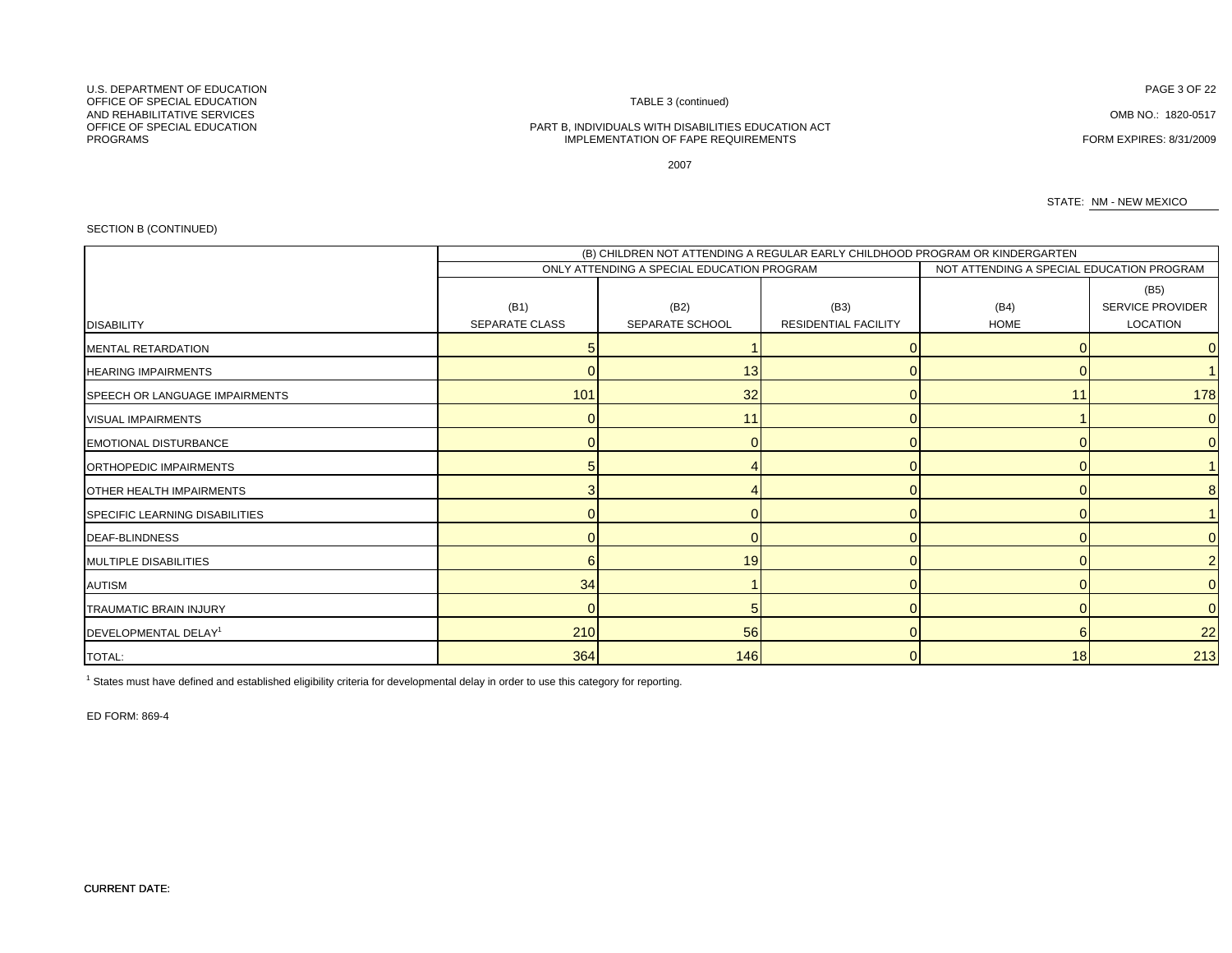#### PART B, INDIVIDUALS WITH DISABILITIES EDUCATION ACT IMPLEMENTATION OF FAPE REQUIREMENTS FORM EXPIRES: 8/31/2009

TABLE 3 (continued)

2007

STATE: NM - NEW MEXICO

#### SECTION B (CONTINUED)

|                                  |                       | (B) CHILDREN NOT ATTENDING A REGULAR EARLY CHILDHOOD PROGRAM OR KINDERGARTEN |                             |                                           |                  |
|----------------------------------|-----------------------|------------------------------------------------------------------------------|-----------------------------|-------------------------------------------|------------------|
|                                  |                       | ONLY ATTENDING A SPECIAL EDUCATION PROGRAM                                   |                             | NOT ATTENDING A SPECIAL EDUCATION PROGRAM |                  |
|                                  |                       |                                                                              |                             |                                           | (B5)             |
|                                  | (B1)                  | (B2)                                                                         | (B3)                        | (B4)                                      | SERVICE PROVIDER |
| <b>DISABILITY</b>                | <b>SEPARATE CLASS</b> | SEPARATE SCHOOL                                                              | <b>RESIDENTIAL FACILITY</b> | <b>HOME</b>                               | LOCATION         |
| <b>MENTAL RETARDATION</b>        |                       |                                                                              |                             |                                           | 0                |
| <b>HEARING IMPAIRMENTS</b>       |                       | 13 <sup>l</sup>                                                              |                             |                                           |                  |
| SPEECH OR LANGUAGE IMPAIRMENTS   | 101                   | 32                                                                           |                             | 11                                        | 178              |
| <b>VISUAL IMPAIRMENTS</b>        |                       | 11                                                                           |                             |                                           | 0                |
| <b>EMOTIONAL DISTURBANCE</b>     |                       |                                                                              |                             |                                           | $\Omega$         |
| ORTHOPEDIC IMPAIRMENTS           |                       |                                                                              |                             |                                           |                  |
| <b>OTHER HEALTH IMPAIRMENTS</b>  |                       |                                                                              |                             |                                           |                  |
| SPECIFIC LEARNING DISABILITIES   |                       |                                                                              |                             |                                           |                  |
| <b>DEAF-BLINDNESS</b>            |                       |                                                                              |                             |                                           | 0                |
| MULTIPLE DISABILITIES            |                       | 19                                                                           |                             |                                           |                  |
| <b>AUTISM</b>                    | 34                    |                                                                              |                             |                                           | $\Omega$         |
| <b>TRAUMATIC BRAIN INJURY</b>    | O                     | 5                                                                            |                             |                                           | 0                |
| DEVELOPMENTAL DELAY <sup>1</sup> | 210                   | 56                                                                           |                             | 6                                         | 22               |
| TOTAL:                           | 364                   | 146                                                                          |                             | 18                                        | 213              |

 $1$  States must have defined and established eligibility criteria for developmental delay in order to use this category for reporting.

ED FORM: 869-4

CURRENT DATE:

#### U.S. DEPARTMENT OF EDUCATIONOFFICE OF SPECIAL EDUCATIONAND REHABILITATIVE SERVICESAND REHABILITATIVE SERVICES COMB NO.: 1820-0517<br>OFFICE OF SPECIAL EDUCATION COMB NO.: 1820-0517 PROGRAMS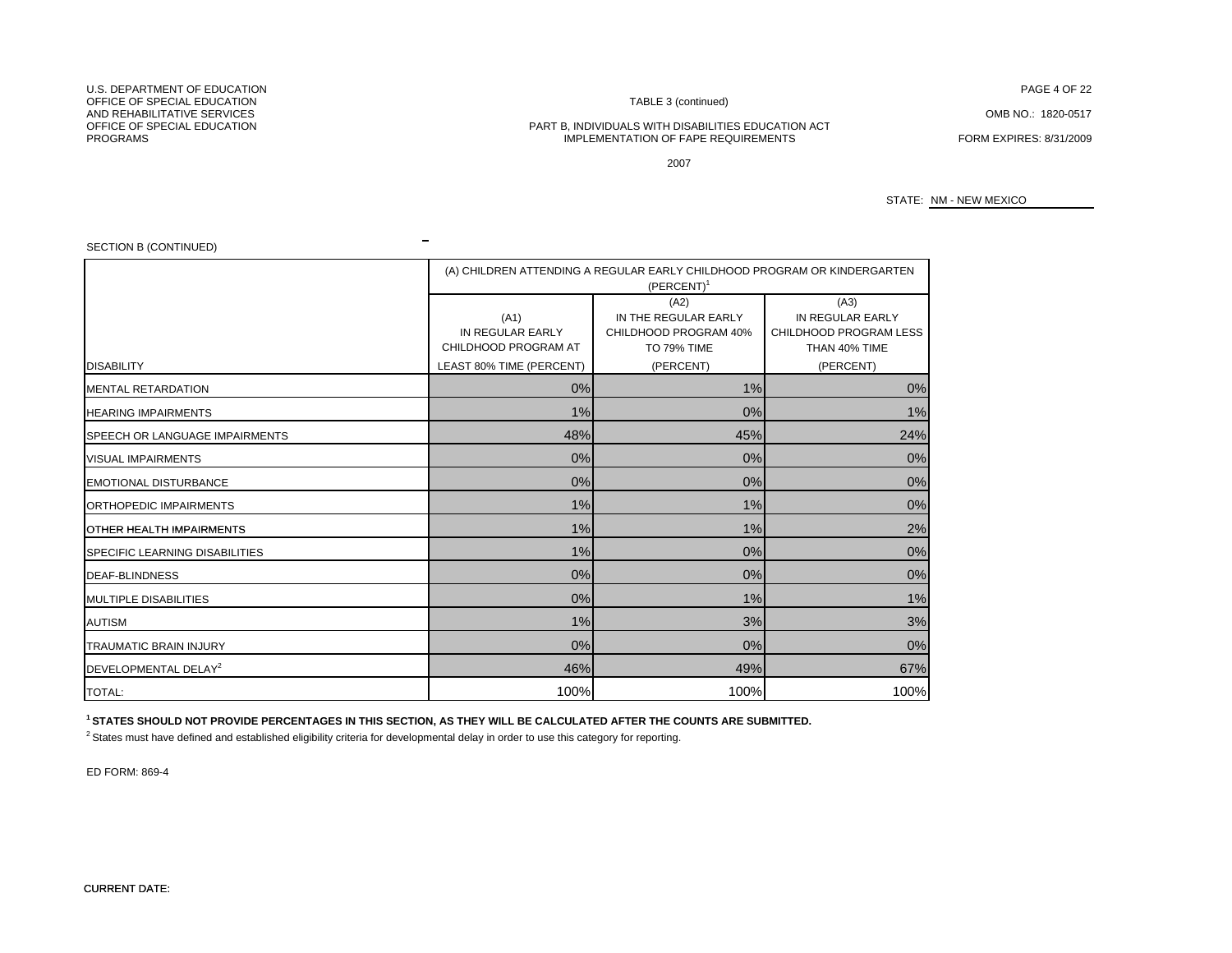U.S. DEPARTMENT OF EDUCATIONOFFICE OF SPECIAL EDUCATIONAND REHABILITATIVE SERVICESAND REHABILITATIVE SERVICES COMBINO.: 1820-0517<br>OFFICE OF SPECIAL EDUCATION COMBINO COMBINO.: 1820-0517 PROGRAMS

### TABLE 3 (continued)

#### PART B, INDIVIDUALS WITH DISABILITIES EDUCATION ACT IMPLEMENTATION OF FAPE REQUIREMENTS FORM EXPIRES: 8/31/2009

N FAGE 4 OF 22

2007

STATE: NM - NEW MEXICO

SECTION B (CONTINUED)

|                                  |                                                  | (A) CHILDREN ATTENDING A REGULAR EARLY CHILDHOOD PROGRAM OR KINDERGARTEN<br>$(PERCENT)^1$ |                                                                                  |
|----------------------------------|--------------------------------------------------|-------------------------------------------------------------------------------------------|----------------------------------------------------------------------------------|
| <b>DISABILITY</b>                | (A1)<br>IN REGULAR EARLY<br>CHILDHOOD PROGRAM AT | (A2)<br>IN THE REGULAR EARLY<br>CHILDHOOD PROGRAM 40%<br>TO 79% TIME                      | (A3)<br>IN REGULAR EARLY<br>CHILDHOOD PROGRAM LESS<br>THAN 40% TIME<br>(PERCENT) |
| MENTAL RETARDATION               | LEAST 80% TIME (PERCENT)<br>0%                   | (PERCENT)<br>1%                                                                           | 0%                                                                               |
| <b>HEARING IMPAIRMENTS</b>       | 1%                                               | 0%                                                                                        | 1%                                                                               |
|                                  |                                                  |                                                                                           |                                                                                  |
| SPEECH OR LANGUAGE IMPAIRMENTS   | 48%                                              | 45%                                                                                       | 24%                                                                              |
| <b>VISUAL IMPAIRMENTS</b>        | 0%                                               | 0%                                                                                        | 0%                                                                               |
| <b>EMOTIONAL DISTURBANCE</b>     | 0%                                               | 0%                                                                                        | 0%                                                                               |
| ORTHOPEDIC IMPAIRMENTS           | 1%                                               | 1%                                                                                        | 0%                                                                               |
| <b>OTHER HEALTH IMPAIRMENTS</b>  | 1%                                               | 1%                                                                                        | 2%                                                                               |
| SPECIFIC LEARNING DISABILITIES   | 1%                                               | 0%                                                                                        | 0%                                                                               |
| <b>DEAF-BLINDNESS</b>            | 0%                                               | 0%                                                                                        | 0%                                                                               |
| <b>MULTIPLE DISABILITIES</b>     | 0%                                               | 1%                                                                                        | 1%                                                                               |
| <b>AUTISM</b>                    | 1%                                               | 3%                                                                                        | 3%                                                                               |
| <b>TRAUMATIC BRAIN INJURY</b>    | 0%                                               | 0%                                                                                        | 0%                                                                               |
| DEVELOPMENTAL DELAY <sup>2</sup> | 46%                                              | 49%                                                                                       | 67%                                                                              |
| <b>TOTAL:</b>                    | 100%                                             | 100%                                                                                      | 100%                                                                             |

**1 STATES SHOULD NOT PROVIDE PERCENTAGES IN THIS SECTION, AS THEY WILL BE CALCULATED AFTER THE COUNTS ARE SUBMITTED.**

 $\blacksquare$ 

<sup>2</sup> States must have defined and established eligibility criteria for developmental delay in order to use this category for reporting.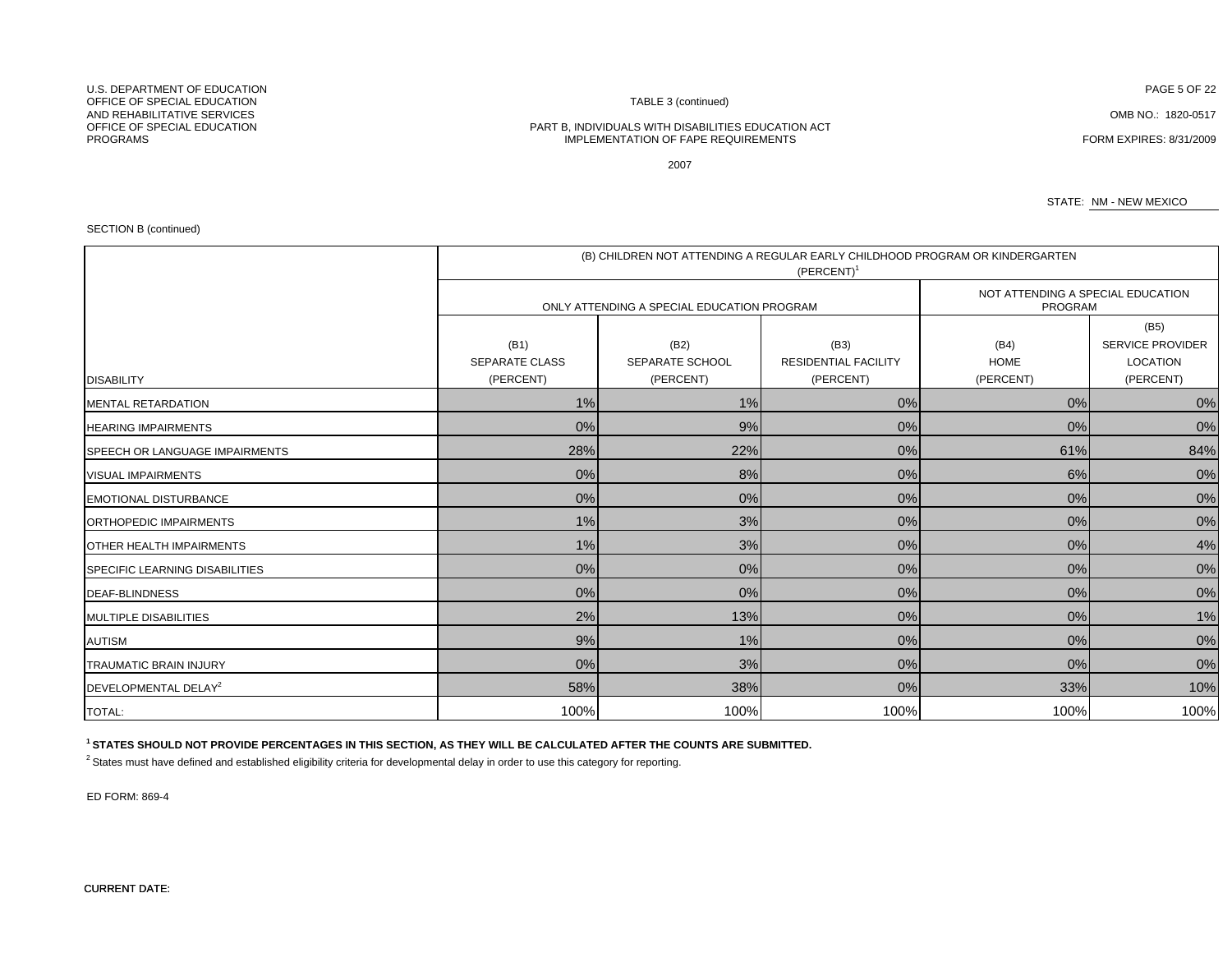PART B, INDIVIDUALS WITH DISABILITIES EDUCATION ACT IMPLEMENTATION OF FAPE REQUIREMENTS **FORM EXPIRES: 8/31/2009** 

2007

STATE: NM - NEW MEXICO

SECTION B (continued)

|                                       | (B) CHILDREN NOT ATTENDING A REGULAR EARLY CHILDHOOD PROGRAM OR KINDERGARTEN<br>$(PERCENT)^1$ |                                            |                                                  |                                              |                                                                 |  |  |  |
|---------------------------------------|-----------------------------------------------------------------------------------------------|--------------------------------------------|--------------------------------------------------|----------------------------------------------|-----------------------------------------------------------------|--|--|--|
|                                       |                                                                                               | ONLY ATTENDING A SPECIAL EDUCATION PROGRAM |                                                  | NOT ATTENDING A SPECIAL EDUCATION<br>PROGRAM |                                                                 |  |  |  |
| <b>DISABILITY</b>                     | (B1)<br><b>SEPARATE CLASS</b><br>(PERCENT)                                                    | (B2)<br>SEPARATE SCHOOL<br>(PERCENT)       | (B3)<br><b>RESIDENTIAL FACILITY</b><br>(PERCENT) | (B4)<br><b>HOME</b><br>(PERCENT)             | (B5)<br><b>SERVICE PROVIDER</b><br><b>LOCATION</b><br>(PERCENT) |  |  |  |
| MENTAL RETARDATION                    | 1%                                                                                            | 1%                                         | 0%                                               | 0%                                           | 0%                                                              |  |  |  |
| <b>HEARING IMPAIRMENTS</b>            | 0%                                                                                            | 9%                                         | 0%                                               | 0%                                           | 0%                                                              |  |  |  |
| SPEECH OR LANGUAGE IMPAIRMENTS        | 28%                                                                                           | 22%                                        | 0%                                               | 61%                                          | 84%                                                             |  |  |  |
| <b>VISUAL IMPAIRMENTS</b>             | 0%                                                                                            | 8%                                         | $0\%$                                            | 6%                                           | 0%                                                              |  |  |  |
| <b>EMOTIONAL DISTURBANCE</b>          | 0%                                                                                            | 0%                                         | 0%                                               | 0%                                           | 0%                                                              |  |  |  |
| ORTHOPEDIC IMPAIRMENTS                | 1%                                                                                            | 3%                                         | 0%                                               | 0%                                           | 0%                                                              |  |  |  |
| <b>OTHER HEALTH IMPAIRMENTS</b>       | 1%                                                                                            | 3%                                         | 0%                                               | 0%                                           | 4%                                                              |  |  |  |
| <b>SPECIFIC LEARNING DISABILITIES</b> | 0%                                                                                            | 0%                                         | 0%                                               | 0%                                           | 0%                                                              |  |  |  |
| <b>DEAF-BLINDNESS</b>                 | 0%                                                                                            | 0%                                         | 0%                                               | 0%                                           | 0%                                                              |  |  |  |
| <b>MULTIPLE DISABILITIES</b>          | 2%                                                                                            | 13%                                        | 0%                                               | 0%                                           | 1%                                                              |  |  |  |
| <b>AUTISM</b>                         | 9%                                                                                            | 1%                                         | 0%                                               | 0%                                           | 0%                                                              |  |  |  |
| <b>TRAUMATIC BRAIN INJURY</b>         | 0%                                                                                            | 3%                                         | 0%                                               | 0%                                           | 0%                                                              |  |  |  |
| DEVELOPMENTAL DELAY <sup>2</sup>      | 58%                                                                                           | 38%                                        | 0%                                               | 33%                                          | 10%                                                             |  |  |  |
| <b>TOTAL:</b>                         | 100%                                                                                          | 100%                                       | 100%                                             | 100%                                         | 100%                                                            |  |  |  |

**1 STATES SHOULD NOT PROVIDE PERCENTAGES IN THIS SECTION, AS THEY WILL BE CALCULATED AFTER THE COUNTS ARE SUBMITTED.**

<sup>2</sup> States must have defined and established eligibility criteria for developmental delay in order to use this category for reporting.

ED FORM: 869-4

#### TABLE 3 (continued)

U.S. DEPARTMENT OF EDUCATIONOFFICE OF SPECIAL EDUCATIONAND REHABILITATIVE SERVICESNET AND REHABILITATIVE SERVICES COMB NO.: 1820-0517<br>OFFICE OF SPECIAL EDUCATION COMB NO.: 1820-0517 PROGRAMS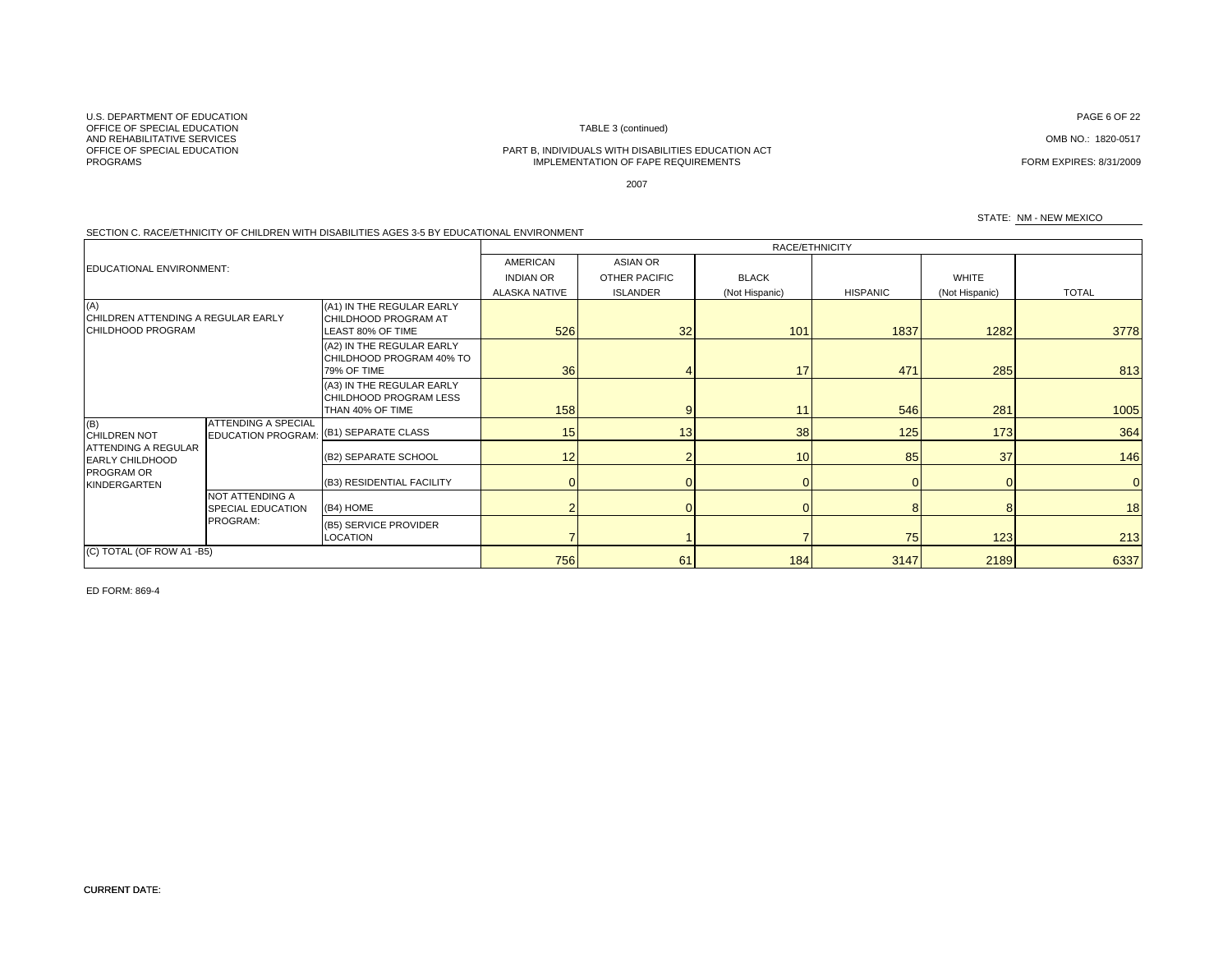CURRENT DATE:

U.S. DEPARTMENT OF EDUCATIONOFFICE OF SPECIAL EDUCATIONAND REHABILITATIVE SERVICES<br>OFFICE OF SPECIAL EDUCATION PROGRAMS

# TABLE 3 (continued)

#### PART B, INDIVIDUALS WITH DISABILITIES EDUCATION ACT IMPLEMENTATION OF FAPE REQUIREMENTS FORM EXPIRES: 8/31/2009

2007

#### SECTION C. RACE/ETHNICITY OF CHILDREN WITH DISABILITIES AGES 3-5 BY EDUCATIONAL ENVIRONMENT

|                                                                |                                                        |                                                                         | RACE/ETHNICITY       |                 |                |                 |                |                |
|----------------------------------------------------------------|--------------------------------------------------------|-------------------------------------------------------------------------|----------------------|-----------------|----------------|-----------------|----------------|----------------|
| <b>EDUCATIONAL ENVIRONMENT:</b>                                |                                                        |                                                                         | AMERICAN             | ASIAN OR        |                |                 |                |                |
|                                                                |                                                        |                                                                         | <b>INDIAN OR</b>     | OTHER PACIFIC   | <b>BLACK</b>   |                 | <b>WHITE</b>   |                |
|                                                                |                                                        |                                                                         | <b>ALASKA NATIVE</b> | <b>ISLANDER</b> | (Not Hispanic) | <b>HISPANIC</b> | (Not Hispanic) | <b>TOTAL</b>   |
| (A)<br>CHILDREN ATTENDING A REGULAR EARLY<br>CHILDHOOD PROGRAM |                                                        | (A1) IN THE REGULAR EARLY<br>CHILDHOOD PROGRAM AT<br>LEAST 80% OF TIME  | 526                  | 32              | 101            | 1837            | 1282           | 3778           |
|                                                                |                                                        | (A2) IN THE REGULAR EARLY<br>CHILDHOOD PROGRAM 40% TO<br>79% OF TIME    | 36                   |                 | 17             | 471             | 285            | 813            |
|                                                                |                                                        | (A3) IN THE REGULAR EARLY<br>CHILDHOOD PROGRAM LESS<br>THAN 40% OF TIME | 158                  | q               | 11             | 546             | 281            | 1005           |
| (B)<br><b>CHILDREN NOT</b>                                     | <b>ATTENDING A SPECIAL</b><br><b>EDUCATION PROGRAM</b> | (B1) SEPARATE CLASS                                                     | 15                   | 13              | 38             | 125             | 173            | 364            |
| <b>ATTENDING A REGULAR</b><br><b>EARLY CHILDHOOD</b>           |                                                        | (B2) SEPARATE SCHOOL                                                    | 12                   |                 | 10             | 85              | 37             | 146            |
| PROGRAM OR<br>KINDERGARTEN                                     |                                                        | (B3) RESIDENTIAL FACILITY                                               |                      |                 |                |                 |                | $\overline{0}$ |
|                                                                | <b>NOT ATTENDING A</b><br><b>SPECIAL EDUCATION</b>     | (B4) HOME                                                               |                      |                 |                |                 |                | 18             |
|                                                                | PROGRAM:                                               | (B5) SERVICE PROVIDER<br>LOCATION                                       |                      |                 |                | 75              | 123            | 213            |
| (C) TOTAL (OF ROW A1 -B5)                                      |                                                        |                                                                         | 756                  | 61              | 184            | 3147            | 2189           | 6337           |

ED FORM: 869-4

N ASSEMBLING TO PAGE 6 OF 22 A REPORT OF 22 A REPORT OF 22 A REPORT OF 22 A REPORT OF 22 A REPORT OF 22 A REPORT OF 22

OMB NO.: 1820-0517

STATE: NM - NEW MEXICO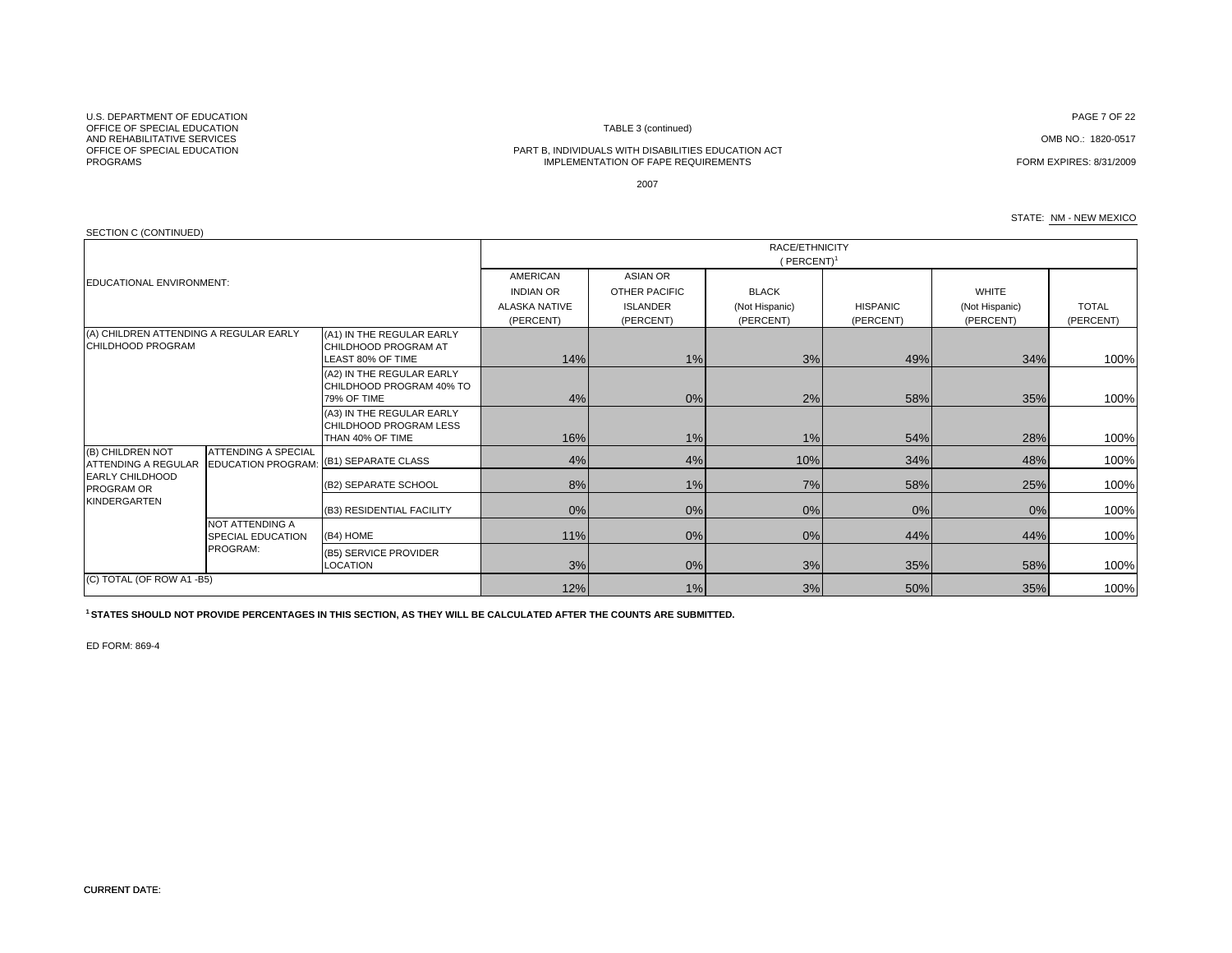U.S. DEPARTMENT OF EDUCATIONOFFICE OF SPECIAL EDUCATIONAND REHABILITATIVE SERVICES<br>OFFICE OF SPECIAL EDUCATION PROGRAMS

#### TABLE 3 (continued)

#### PART B, INDIVIDUALS WITH DISABILITIES EDUCATION ACT IMPLEMENTATION OF FAPE REQUIREMENTS FORM EXPIRES: 8/31/2009

N DISPONSIVE PAGE 7 OF 22 AND NOTE . AND NOTE THAT IS NOT THE RELEASED OF 22 AND NOTE 22 AND NOTE 22 AND NOTE 22

OMB NO.: 1820-0517

2007

#### STATE: NM - NEW MEXICO

| SECTION C (CONTINUED)                                                                                                                                                                                                                                          |                                                                      |                                                                                |                             |    |     |                                             |                           |      |  |  |  |
|----------------------------------------------------------------------------------------------------------------------------------------------------------------------------------------------------------------------------------------------------------------|----------------------------------------------------------------------|--------------------------------------------------------------------------------|-----------------------------|----|-----|---------------------------------------------|---------------------------|------|--|--|--|
|                                                                                                                                                                                                                                                                |                                                                      |                                                                                | RACE/ETHNICITY<br>(PERCENT) |    |     |                                             |                           |      |  |  |  |
| <b>AMERICAN</b><br><b>ASIAN OR</b><br>EDUCATIONAL ENVIRONMENT:<br><b>INDIAN OR</b><br><b>BLACK</b><br><b>OTHER PACIFIC</b><br><b>ALASKA NATIVE</b><br><b>ISLANDER</b><br><b>HISPANIC</b><br>(Not Hispanic)<br>(PERCENT)<br>(PERCENT)<br>(PERCENT)<br>(PERCENT) |                                                                      |                                                                                |                             |    |     | <b>WHITE</b><br>(Not Hispanic)<br>(PERCENT) | <b>TOTAL</b><br>(PERCENT) |      |  |  |  |
| (A) CHILDREN ATTENDING A REGULAR EARLY<br>CHILDHOOD PROGRAM                                                                                                                                                                                                    |                                                                      | (A1) IN THE REGULAR EARLY<br><b>CHILDHOOD PROGRAM AT</b><br>LEAST 80% OF TIME  | 14%                         | 1% | 3%  | 49%                                         | 34%                       | 100% |  |  |  |
|                                                                                                                                                                                                                                                                |                                                                      | (A2) IN THE REGULAR EARLY<br>CHILDHOOD PROGRAM 40% TO<br>79% OF TIME           | 4%                          | 0% | 2%  | 58%                                         | 35%                       | 100% |  |  |  |
|                                                                                                                                                                                                                                                                |                                                                      | (A3) IN THE REGULAR EARLY<br><b>CHILDHOOD PROGRAM LESS</b><br>THAN 40% OF TIME | 16%                         | 1% | 1%  | 54%                                         | 28%                       | 100% |  |  |  |
| (B) CHILDREN NOT<br><b>ATTENDING A REGULAR</b>                                                                                                                                                                                                                 | <b>ATTENDING A SPECIAL</b><br>EDUCATION PROGRAM: (B1) SEPARATE CLASS |                                                                                | 4%                          | 4% | 10% | 34%                                         | 48%                       | 100% |  |  |  |
| <b>EARLY CHILDHOOD</b><br><b>PROGRAM OR</b>                                                                                                                                                                                                                    |                                                                      | (B2) SEPARATE SCHOOL                                                           | 8%                          | 1% | 7%  | 58%                                         | 25%                       | 100% |  |  |  |
| KINDERGARTEN                                                                                                                                                                                                                                                   |                                                                      | (B3) RESIDENTIAL FACILITY                                                      | 0%                          | 0% | 0%  | 0%                                          | 0%                        | 100% |  |  |  |
|                                                                                                                                                                                                                                                                | <b>NOT ATTENDING A</b><br><b>SPECIAL EDUCATION</b>                   | (B4) HOME                                                                      | 11%                         | 0% | 0%  | 44%                                         | 44%                       | 100% |  |  |  |
|                                                                                                                                                                                                                                                                | PROGRAM:                                                             | (B5) SERVICE PROVIDER<br>LOCATION                                              | 3%                          | 0% | 3%  | 35%                                         | 58%                       | 100% |  |  |  |
| (C) TOTAL (OF ROW A1 -B5)                                                                                                                                                                                                                                      |                                                                      |                                                                                | 12%                         | 1% | 3%  | 50%                                         | 35%                       | 100% |  |  |  |

**1 STATES SHOULD NOT PROVIDE PERCENTAGES IN THIS SECTION, AS THEY WILL BE CALCULATED AFTER THE COUNTS ARE SUBMITTED.**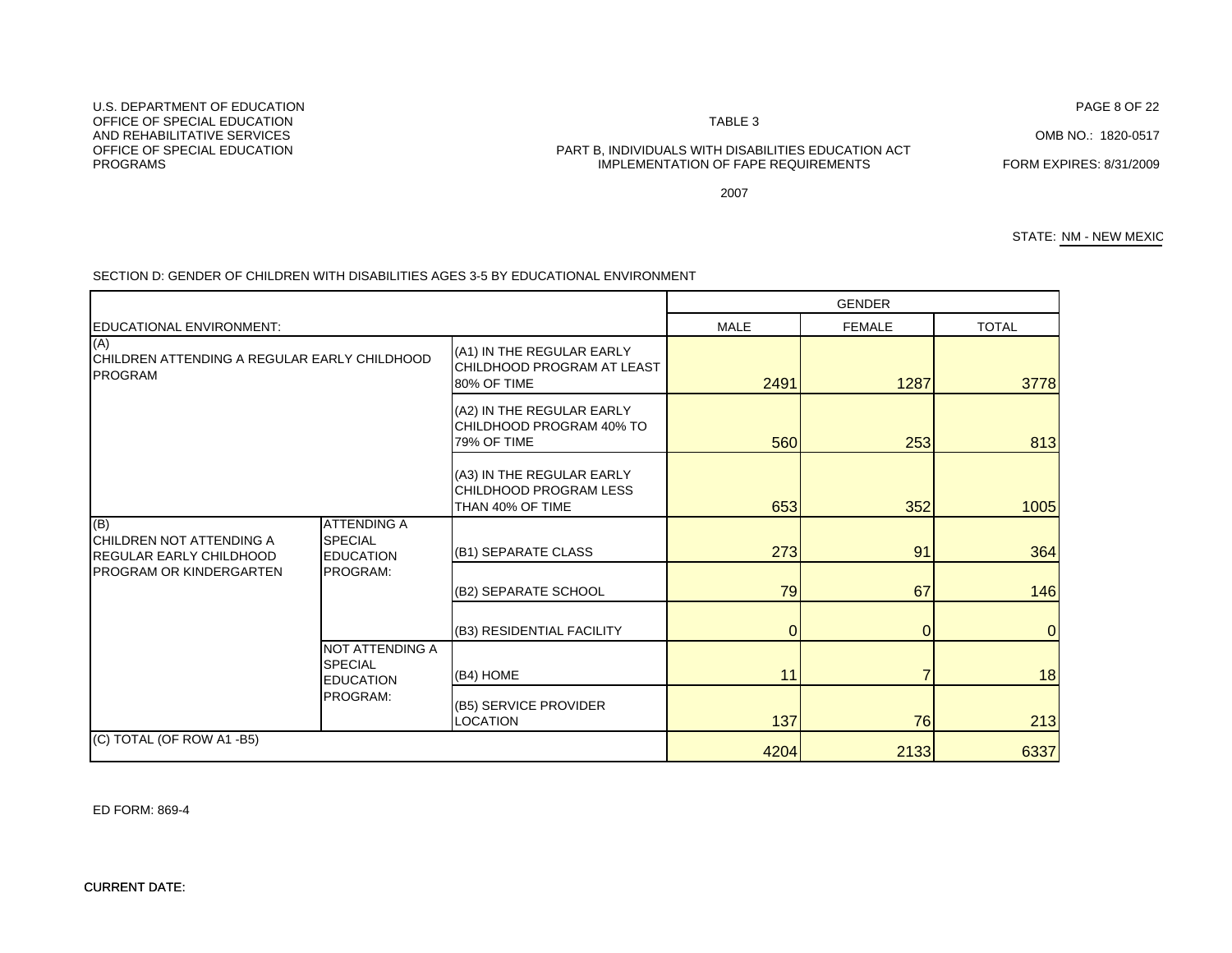#### CURRENT DATE:

ED FORM: 869-4

#### MALE FEMALE TOTAL(A1) IN THE REGULAR EARLY CHILDHOOD PROGRAM AT LEAST 80% OF TIME 2491 1287 3778(A2) IN THE REGULAR EARLY CHILDHOOD PROGRAM 40% TO 79% OF TIMEE 5601 2531 813 (A3) IN THE REGULAR EARLY CHILDHOOD PROGRAM LESS THAN 40% OF TIMEE 653l 352l 1005 273 91 364 GENDEREDUCATIONAL ENVIRONMENT:(A) CHILDREN ATTENDING A REGULAR EARLY CHILDHOOD PROGRAM(B) CHILDREN NOT ATTENDING A ATTENDING A SPECIAL (B1) SEPARATE CLASS (B2) SEPARATE SCHOOL **146 146 146** (B3) RESIDENTIAL FACILITY (Basic control of the control of the control of the control of the control of the control of the control of the control of the control of the control of the control of the control of the control o (B4) HOME 11 7 18 (B5) SERVICE PROVIDER LOCATION 137 76 213213 4204 **2133** 6337 (C) TOTAL (OF ROW A1 -B5) REGULAR EARLY CHILDHOOD PROGRAM OR KINDERGARTENEDUCATION PROGRAM:NOT ATTENDING A SPECIAL EDUCATION PROGRAM:

SECTION D: GENDER OF CHILDREN WITH DISABILITIES AGES 3-5 BY EDUCATIONAL ENVIRONMENT

U.S. DEPARTMENT OF EDUCATIONOFFICE OF SPECIAL EDUCATIONAND REHABILITATIVE SERVICESPROGRAMS

# OFFICE OF SPECIAL EDUCATION PART B, INDIVIDUALS WITH DISABILITIES EDUCATION ACT IMPLEMENTATION OF FAPE REQUIREMENTS FORM EXPIRES: 8/31/2009

2007

OMB NO.: 1820-0517

STATE: NM - NEW MEXIC

PAGE 8 OF 22

TABLE 3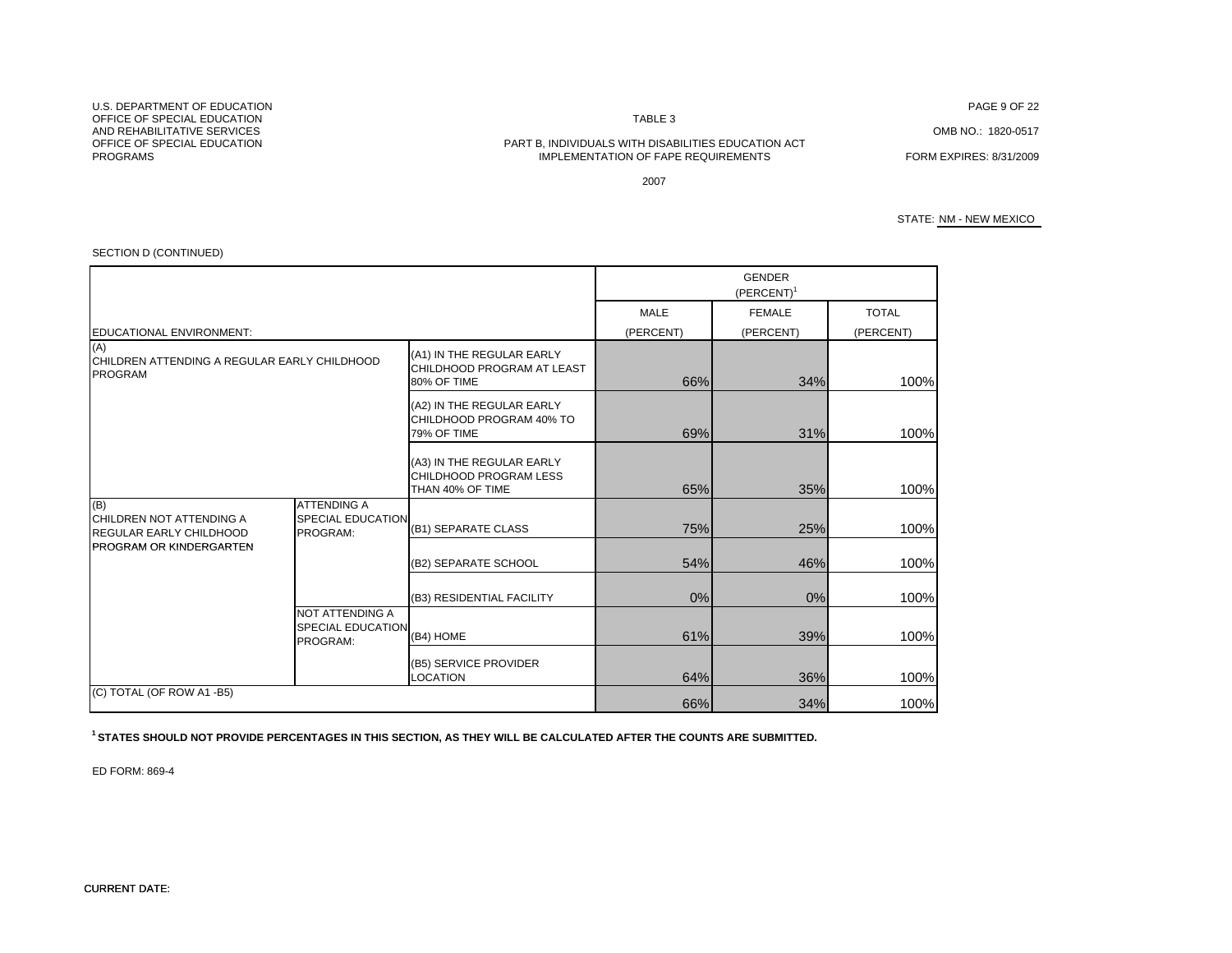U.S. DEPARTMENT OF EDUCATIONOFFICE OF SPECIAL EDUCATIONAND REHABILITATIVE SERVICESPROGRAMS

N TABLE 3

# OFFICE OF SPECIAL EDUCATION PART B, INDIVIDUALS WITH DISABILITIES EDUCATION ACT IMPLEMENTATION OF FAPE REQUIREMENTS FORM EXPIRES: 8/31/2009

PAGE 9 OF 22

OMB NO.: 1820-0517

2007

#### STATE: NM - NEW MEXICO

| SECTION D (CONTINUED)                                                 |                                                            |                                                                         |                   |                            |                           |
|-----------------------------------------------------------------------|------------------------------------------------------------|-------------------------------------------------------------------------|-------------------|----------------------------|---------------------------|
|                                                                       |                                                            |                                                                         |                   | <b>GENDER</b><br>(PERCENT) |                           |
| EDUCATIONAL ENVIRONMENT:                                              |                                                            |                                                                         | MALE<br>(PERCENT) | <b>FEMALE</b><br>(PERCENT) | <b>TOTAL</b><br>(PERCENT) |
| (A)<br>CHILDREN ATTENDING A REGULAR EARLY CHILDHOOD<br><b>PROGRAM</b> |                                                            | (A1) IN THE REGULAR EARLY<br>CHILDHOOD PROGRAM AT LEAST<br>80% OF TIME  | 66%               | 34%                        | 100%                      |
|                                                                       |                                                            | (A2) IN THE REGULAR EARLY<br>CHILDHOOD PROGRAM 40% TO<br>79% OF TIME    | 69%               | 31%                        | 100%                      |
|                                                                       |                                                            | (A3) IN THE REGULAR EARLY<br>CHILDHOOD PROGRAM LESS<br>THAN 40% OF TIME | 65%               | 35%                        | 100%                      |
| (B)<br>CHILDREN NOT ATTENDING A<br><b>REGULAR EARLY CHILDHOOD</b>     | <b>ATTENDING A</b><br><b>SPECIAL EDUCATION</b><br>PROGRAM: | (B1) SEPARATE CLASS                                                     | 75%               | 25%                        | 100%                      |
| <b>PROGRAM OR KINDERGARTEN</b>                                        |                                                            | (B2) SEPARATE SCHOOL                                                    | 54%               | 46%                        | 100%                      |
|                                                                       |                                                            | (B3) RESIDENTIAL FACILITY                                               | 0%                | 0%                         | 100%                      |
|                                                                       | NOT ATTENDING A<br><b>SPECIAL EDUCATION</b><br>PROGRAM:    | (B4) HOME                                                               | 61%               | 39%                        | 100%                      |
|                                                                       | (B5) SERVICE PROVIDER<br><b>LOCATION</b>                   |                                                                         | 64%               | 36%                        | 100%                      |
| (C) TOTAL (OF ROW A1 -B5)                                             |                                                            |                                                                         | 66%               | 34%                        | 100%                      |

**1 STATES SHOULD NOT PROVIDE PERCENTAGES IN THIS SECTION, AS THEY WILL BE CALCULATED AFTER THE COUNTS ARE SUBMITTED.**

ED FORM: 869-4

### CURRENT DATE: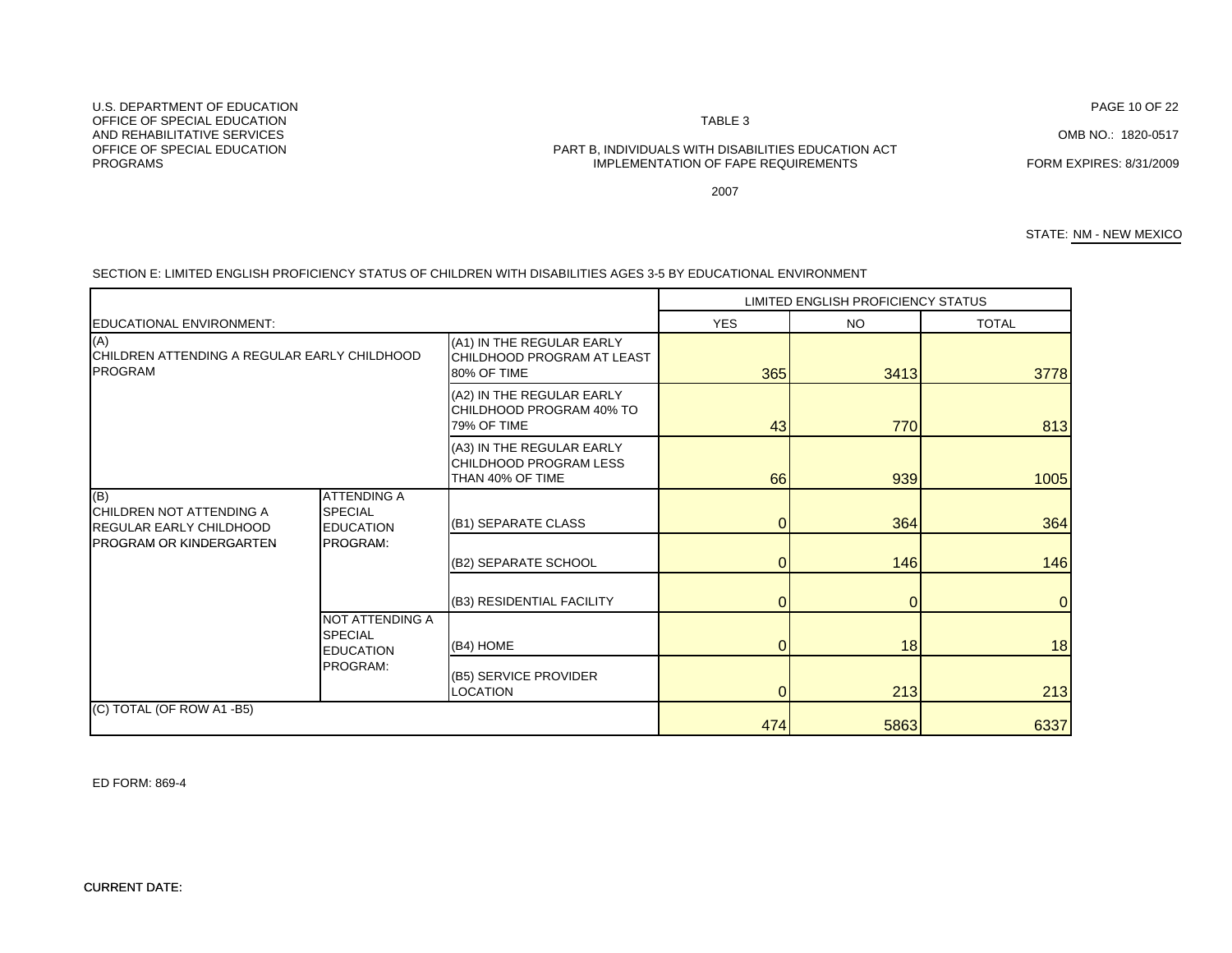ED FORM: 869-4

U.S. DEPARTMENT OF EDUCATIONOFFICE OF SPECIAL EDUCATIONN TABLE 3 AND REHABILITATIVE SERVICES

# OFFICE OF SPECIAL EDUCATION PART B, INDIVIDUALS WITH DISABILITIES EDUCATION ACT IMPLEMENTATION OF FAPE REQUIREMENTS

2007

STATE: NM - NEW MEXICO

FORM EXPIRES: 8/31/2009

|                                                                          |                                                          |                                                                         |            | LIMITED ENGLISH PROFICIENCY STATUS |                |
|--------------------------------------------------------------------------|----------------------------------------------------------|-------------------------------------------------------------------------|------------|------------------------------------|----------------|
| EDUCATIONAL ENVIRONMENT:                                                 |                                                          |                                                                         | <b>YES</b> | NO.                                | <b>TOTAL</b>   |
| (A)<br>CHILDREN ATTENDING A REGULAR EARLY CHILDHOOD<br><b>PROGRAM</b>    |                                                          | (A1) IN THE REGULAR EARLY<br>CHILDHOOD PROGRAM AT LEAST<br>80% OF TIME  | 365        | 3413                               | 3778           |
|                                                                          |                                                          | (A2) IN THE REGULAR EARLY<br>CHILDHOOD PROGRAM 40% TO<br>79% OF TIME    | 43         | 770                                | 813            |
|                                                                          |                                                          | (A3) IN THE REGULAR EARLY<br>CHILDHOOD PROGRAM LESS<br>THAN 40% OF TIME | 66         | 939                                | 1005           |
| (B)<br><b>CHILDREN NOT ATTENDING A</b><br><b>REGULAR EARLY CHILDHOOD</b> | <b>ATTENDING A</b><br><b>SPECIAL</b><br><b>EDUCATION</b> | (B1) SEPARATE CLASS                                                     | $\Omega$   | 364                                | 364            |
| <b>IPROGRAM OR KINDERGARTEN</b>                                          | PROGRAM:                                                 | (B2) SEPARATE SCHOOL                                                    | $\Omega$   | 146                                | 146            |
|                                                                          |                                                          | (B3) RESIDENTIAL FACILITY                                               |            |                                    | $\overline{0}$ |
|                                                                          | NOT ATTENDING A<br><b>SPECIAL</b><br><b>EDUCATION</b>    | (B4) HOME                                                               | $\Omega$   | 18                                 | 18             |
|                                                                          | PROGRAM:                                                 | (B5) SERVICE PROVIDER<br><b>LOCATION</b>                                | $\Omega$   | 213                                | 213            |
| (C) TOTAL (OF ROW A1 -B5)                                                |                                                          |                                                                         | 474        | 5863                               | 6337           |

SECTION E: LIMITED ENGLISH PROFICIENCY STATUS OF CHILDREN WITH DISABILITIES AGES 3-5 BY EDUCATIONAL ENVIRONMENT

PROGRAMS

PAGE 10 OF 22

OMB NO.: 1820-0517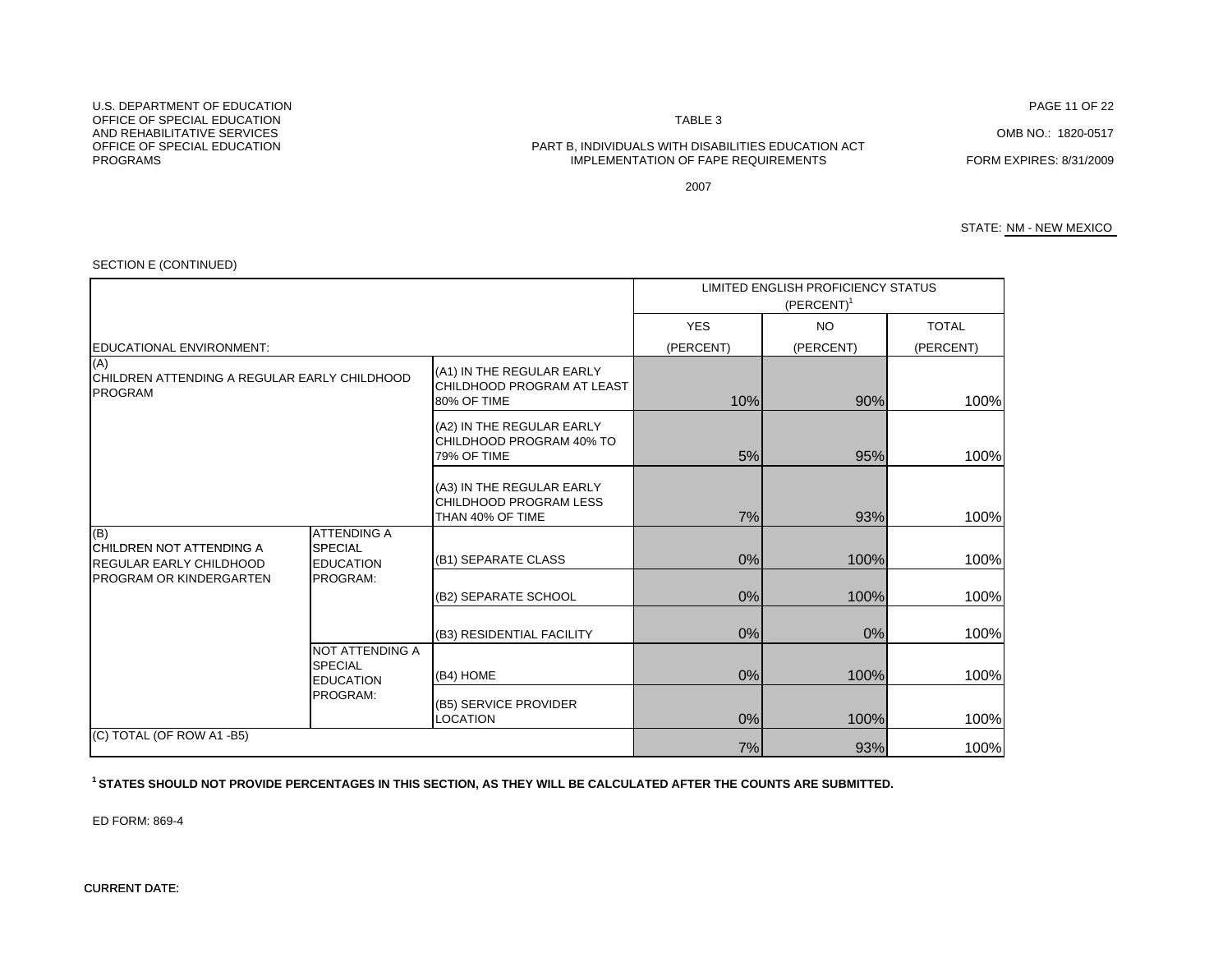#### N TABLE 3

#### OFFICE OF SPECIAL EDUCATION PART B, INDIVIDUALS WITH DISABILITIES EDUCATION ACT IMPLEMENTATION OF FAPE REQUIREMENTS FORM EXPIRES: 8/31/2009

PAGE 11 OF 22

OMB NO.: 1820-0517

2007

STATE: NM - NEW MEXICO

|                                                                               |                                                              |                                                                               |            | LIMITED ENGLISH PROFICIENCY STATUS<br>$(PERCENT)^1$ |              |
|-------------------------------------------------------------------------------|--------------------------------------------------------------|-------------------------------------------------------------------------------|------------|-----------------------------------------------------|--------------|
|                                                                               |                                                              |                                                                               | <b>YES</b> | <b>NO</b>                                           | <b>TOTAL</b> |
| <b>EDUCATIONAL ENVIRONMENT:</b>                                               |                                                              |                                                                               | (PERCENT)  | (PERCENT)                                           | (PERCENT)    |
| (A)<br><b>ICHILDREN ATTENDING A REGULAR EARLY CHILDHOOD</b><br><b>PROGRAM</b> |                                                              | (A1) IN THE REGULAR EARLY<br><b>CHILDHOOD PROGRAM AT LEAST</b><br>80% OF TIME | 10%        | 90%                                                 | 100%         |
|                                                                               |                                                              | (A2) IN THE REGULAR EARLY<br>CHILDHOOD PROGRAM 40% TO<br>79% OF TIME          | 5%         | 95%                                                 | 100%         |
|                                                                               |                                                              | (A3) IN THE REGULAR EARLY<br>CHILDHOOD PROGRAM LESS<br>THAN 40% OF TIME       | 7%         | 93%                                                 | 100%         |
| (B)<br><b>ICHILDREN NOT ATTENDING A</b><br><b>REGULAR EARLY CHILDHOOD</b>     | <b>ATTENDING A</b><br><b>SPECIAL</b><br><b>EDUCATION</b>     | (B1) SEPARATE CLASS                                                           | 0%         | 100%                                                | 100%         |
| <b>PROGRAM OR KINDERGARTEN</b>                                                | PROGRAM:                                                     | (B2) SEPARATE SCHOOL                                                          | 0%         | 100%                                                | 100%         |
|                                                                               |                                                              | (B3) RESIDENTIAL FACILITY                                                     | 0%         | 0%                                                  | 100%         |
|                                                                               | <b>NOT ATTENDING A</b><br><b>SPECIAL</b><br><b>EDUCATION</b> | (B4) HOME                                                                     | 0%         | 100%                                                | 100%         |
|                                                                               | PROGRAM:                                                     | (B5) SERVICE PROVIDER<br><b>LOCATION</b>                                      | 0%         | 100%                                                | 100%         |
| (C) TOTAL (OF ROW A1 -B5)                                                     |                                                              |                                                                               | 7%         | 93%                                                 | 100%         |

#### SECTION E (CONTINUED)

**1 STATES SHOULD NOT PROVIDE PERCENTAGES IN THIS SECTION, AS THEY WILL BE CALCULATED AFTER THE COUNTS ARE SUBMITTED.**

ED FORM: 869-4

CURRENT DATE: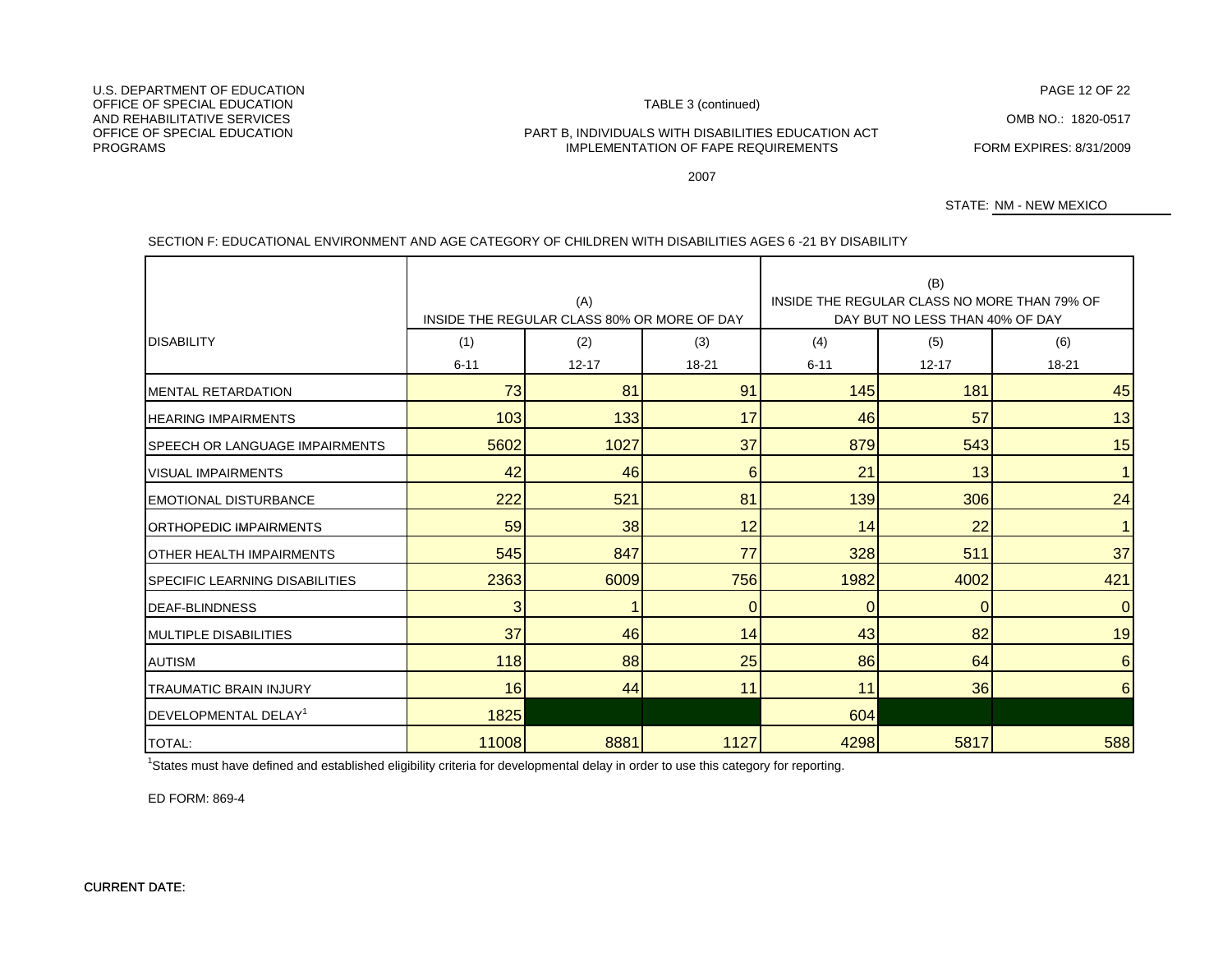PAGE 12 OF 22<br>TABLE 3 (continued)

OMB NO.: 1820-0517

OFFICE OF SPECIAL EDUCATION PART B, INDIVIDUALS WITH DISABILITIES EDUCATION ACT **IMPLEMENTATION OF FAPE REQUIREMENTS FORM EXPIRES: 8/31/2009** IMPLEMENTATION OF FAPE REQUIREMENTS

2007

STATE: NM - NEW MEXICO

### SECTION F: EDUCATIONAL ENVIRONMENT AND AGE CATEGORY OF CHILDREN WITH DISABILITIES AGES 6 -21 BY DISABILITY

|                                       | (A)<br>INSIDE THE REGULAR CLASS 80% OR MORE OF DAY |                  |              | (B)<br>INSIDE THE REGULAR CLASS NO MORE THAN 79% OF<br>DAY BUT NO LESS THAN 40% OF DAY |                  |                  |  |
|---------------------------------------|----------------------------------------------------|------------------|--------------|----------------------------------------------------------------------------------------|------------------|------------------|--|
| <b>DISABILITY</b>                     | (1)<br>$6 - 11$                                    | (2)<br>$12 - 17$ | (3)<br>18-21 | (4)<br>$6 - 11$                                                                        | (5)<br>$12 - 17$ | (6)<br>$18 - 21$ |  |
| <b>MENTAL RETARDATION</b>             | 73                                                 | 81               | 91           | 145                                                                                    | 181              | 45               |  |
| <b>HEARING IMPAIRMENTS</b>            | 103                                                | 133              | 17           | 46                                                                                     | 57               | 13               |  |
| <b>SPEECH OR LANGUAGE IMPAIRMENTS</b> | 5602                                               | 1027             | 37           | 879                                                                                    | 543              | 15               |  |
| <b>VISUAL IMPAIRMENTS</b>             | 42                                                 | 46               | 6            | 21                                                                                     | 13               | $\mathbf{1}$     |  |
| <b>EMOTIONAL DISTURBANCE</b>          | 222                                                | 521              | 81           | 139                                                                                    | 306              | 24               |  |
| <b>ORTHOPEDIC IMPAIRMENTS</b>         | 59                                                 | 38               | 12           | 14                                                                                     | 22               |                  |  |
| <b>OTHER HEALTH IMPAIRMENTS</b>       | 545                                                | 847              | 77           | 328                                                                                    | 511              | 37               |  |
| <b>SPECIFIC LEARNING DISABILITIES</b> | 2363                                               | 6009             | 756          | 1982                                                                                   | 4002             | 421              |  |
| <b>IDEAF-BLINDNESS</b>                | 3                                                  |                  | $\mathbf{0}$ | $\Omega$                                                                               | 0                | $\mathbf 0$      |  |
| <b>IMULTIPLE DISABILITIES</b>         | 37                                                 | 46               | 14           | 43                                                                                     | 82               | 19               |  |
| <b>AUTISM</b>                         | 118                                                | 88               | 25           | 86                                                                                     | 64               | 6                |  |
| <b>TRAUMATIC BRAIN INJURY</b>         | 16                                                 | 44               | 11           | 11                                                                                     | 36               | 6                |  |
| DEVELOPMENTAL DELAY <sup>1</sup>      | 1825                                               |                  |              | 604                                                                                    |                  |                  |  |
| <b>TOTAL:</b>                         | 11008                                              | 8881             | 1127         | 4298                                                                                   | 5817             | 588              |  |

<sup>1</sup>States must have defined and established eligibility criteria for developmental delay in order to use this category for reporting.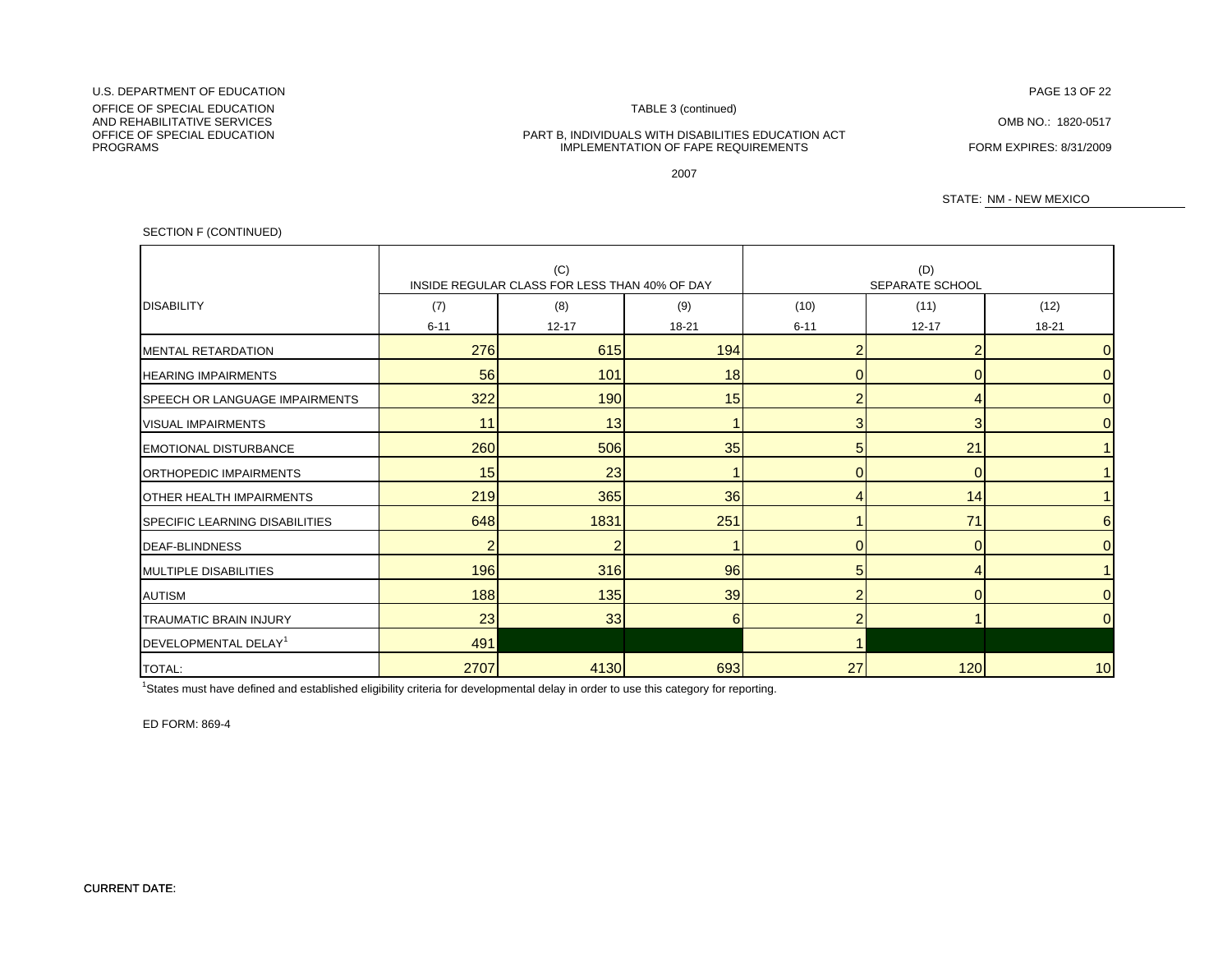#### U.S. DEPARTMENT OF EDUCATIONN DISPONSIVE PAGE 13 OF 22 AND THE SERVICE OF STATE OF STATE OF 22 AND THE SERVICE OF 22 AND THE SERVICE OF 22

OFFICE OF SPECIAL EDUCATION **TABLE 3** (continued) AND REHABILITATIVE SERVICESAND REHABILITATIVE SERVICES GARD COMB NO.: 1820-0517<br>OFFICE OF SPECIAL EDUCATION COMBINERY CONTROLLED BART B, INDIVIDUALS WITH DISABILITIES EDUCATION ACT PROGRAMS

PART B, INDIVIDUALS WITH DISABILITIES EDUCATION ACT IMPLEMENTATION OF FAPE REQUIREMENTS FORM EXPIRES: 8/31/2009

2007

STATE: NM - NEW MEXICO

#### SECTION F (CONTINUED)

|                                       |                | (C)                                           |           |                          | (D)             |                |  |
|---------------------------------------|----------------|-----------------------------------------------|-----------|--------------------------|-----------------|----------------|--|
|                                       |                | INSIDE REGULAR CLASS FOR LESS THAN 40% OF DAY |           |                          | SEPARATE SCHOOL |                |  |
| <b>DISABILITY</b>                     | (7)            | (8)                                           | (9)       | (10)                     | (11)            | (12)           |  |
|                                       | $6 - 11$       | $12 - 17$                                     | $18 - 21$ | $6 - 11$                 | $12 - 17$       | 18-21          |  |
| MENTAL RETARDATION                    | 276            | 615                                           | 194       | 2                        |                 | $\overline{0}$ |  |
| <b>HEARING IMPAIRMENTS</b>            | 56             | 101                                           | 18        |                          | $\Omega$        | $\overline{0}$ |  |
| <b>SPEECH OR LANGUAGE IMPAIRMENTS</b> | 322            | 190                                           | 15        | $\overline{2}$           |                 | $\overline{0}$ |  |
| <b>VISUAL IMPAIRMENTS</b>             | 11             | 13                                            |           | 3                        | 3               | $\overline{0}$ |  |
| <b>EMOTIONAL DISTURBANCE</b>          | 260            | 506                                           | 35        | 5                        | 21              | 1              |  |
| <b>IORTHOPEDIC IMPAIRMENTS</b>        | 15             | 23                                            |           | $\Omega$                 | $\Omega$        |                |  |
| <b>OTHER HEALTH IMPAIRMENTS</b>       | 219            | 365                                           | 36        |                          | 14              | $\mathbf{1}$   |  |
| <b>SPECIFIC LEARNING DISABILITIES</b> | 648            | 1831                                          | 251       |                          | 71              | 6              |  |
| <b>DEAF-BLINDNESS</b>                 | $\overline{2}$ | $\overline{2}$                                |           | 0                        | $\mathbf 0$     | $\overline{0}$ |  |
| <b>MULTIPLE DISABILITIES</b>          | 196            | 316                                           | 96        | 5                        |                 | $\mathbf{1}$   |  |
| <b>AUTISM</b>                         | 188            | 135                                           | 39        | $\overline{\phantom{a}}$ | $\Omega$        | $\overline{0}$ |  |
| <b>TRAUMATIC BRAIN INJURY</b>         | 23             | 33                                            | 6         |                          |                 | $\overline{0}$ |  |
| DEVELOPMENTAL DELAY <sup>1</sup>      | 491            |                                               |           |                          |                 |                |  |
| <b>TOTAL:</b>                         | 2707           | 4130                                          | 693       | 27                       | 120             | 10             |  |

<sup>1</sup>States must have defined and established eligibility criteria for developmental delay in order to use this category for reporting.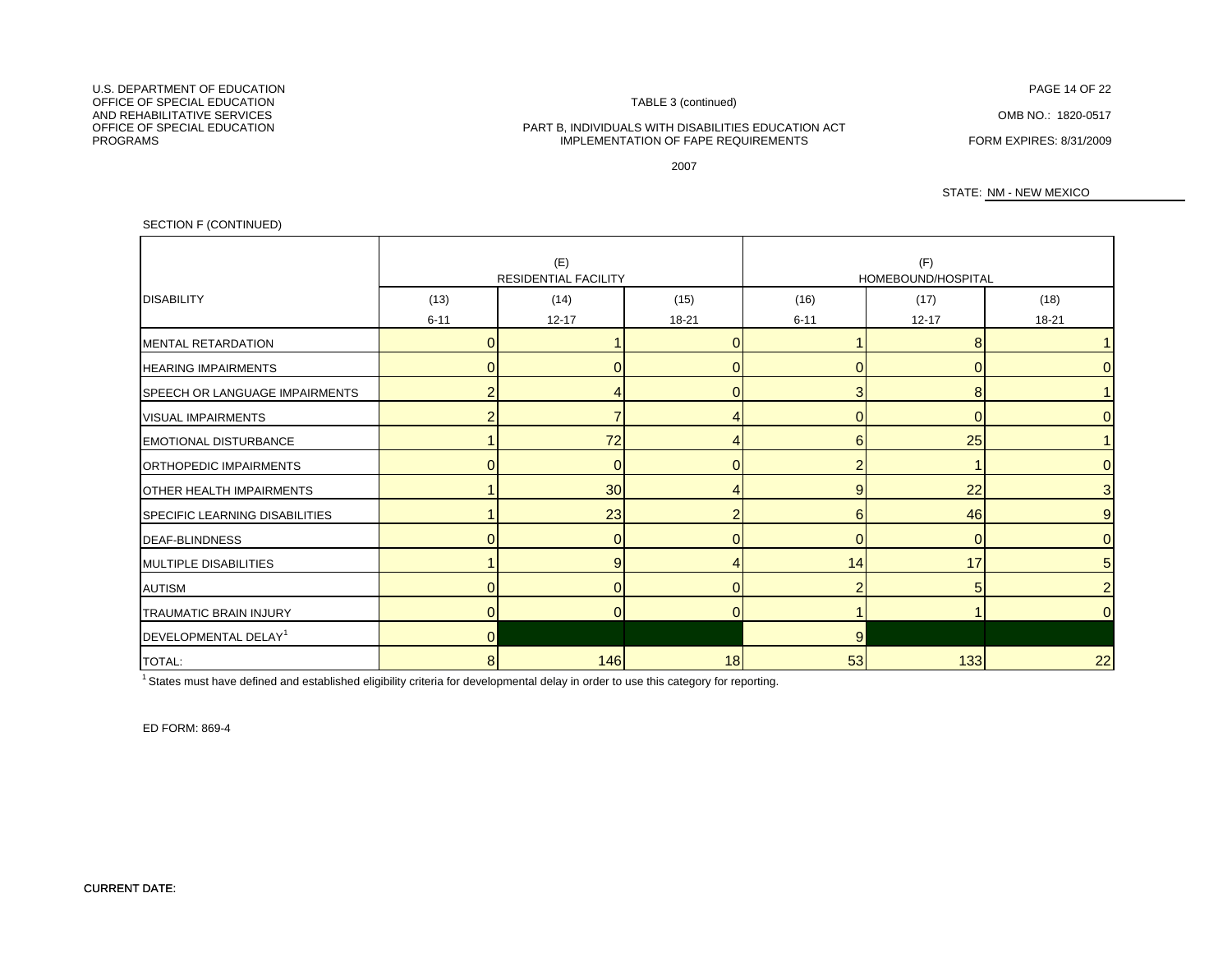N FAGE 14 OF 22

OMB NO.: 1820-0517

#### PART B, INDIVIDUALS WITH DISABILITIES EDUCATION ACT IMPLEMENTATION OF FAPE REQUIREMENTS FORM EXPIRES: 8/31/2009

2007

STATE: NM - NEW MEXICO

### SECTION F (CONTINUED)

|                                       | (E)<br><b>RESIDENTIAL FACILITY</b> |           |              | (F)<br>HOMEBOUND/HOSPITAL |                |                |  |
|---------------------------------------|------------------------------------|-----------|--------------|---------------------------|----------------|----------------|--|
| <b>DISABILITY</b>                     | (13)                               | (14)      | (15)         | (16)                      | (17)           | (18)           |  |
|                                       | $6 - 11$                           | $12 - 17$ | $18 - 21$    | $6 - 11$                  | $12 - 17$      | $18 - 21$      |  |
| <b>MENTAL RETARDATION</b>             | $\Omega$                           |           | $\Omega$     |                           | 8              |                |  |
| <b>HEARING IMPAIRMENTS</b>            | ი                                  |           |              |                           | $\mathbf{0}$   |                |  |
| <b>SPEECH OR LANGUAGE IMPAIRMENTS</b> | 2                                  |           | $\Omega$     | 3                         | 8              |                |  |
| <b>VISUAL IMPAIRMENTS</b>             | $\overline{\phantom{a}}$           | ⇁         |              |                           | $\Omega$       |                |  |
| <b>EMOTIONAL DISTURBANCE</b>          |                                    | 72        |              | 6                         | 25             |                |  |
| <b>ORTHOPEDIC IMPAIRMENTS</b>         |                                    | $\Omega$  | <sup>0</sup> |                           |                |                |  |
| <b>OTHER HEALTH IMPAIRMENTS</b>       |                                    | 30        |              | 9                         | 22             | 3              |  |
| SPECIFIC LEARNING DISABILITIES        |                                    | 23        |              | 6                         | 46             | 9              |  |
| <b>DEAF-BLINDNESS</b>                 | $\Omega$                           | $\Omega$  | $\Omega$     | $\Omega$                  | $\overline{0}$ | $\Omega$       |  |
| <b>MULTIPLE DISABILITIES</b>          |                                    | 9         |              | 14                        | 17             | 5              |  |
| <b>AUTISM</b>                         |                                    | $\Omega$  | <sup>0</sup> |                           | 5              | $\overline{2}$ |  |
| TRAUMATIC BRAIN INJURY                | 0                                  | 0         | $\Omega$     |                           |                | 0              |  |
| DEVELOPMENTAL DELAY <sup>1</sup>      | $\overline{0}$                     |           |              | $\overline{9}$            |                |                |  |
| <b>TOTAL:</b>                         | 8                                  | 146       | 18           | 53                        | 133            | 22             |  |

<sup>1</sup> States must have defined and established eligibility criteria for developmental delay in order to use this category for reporting.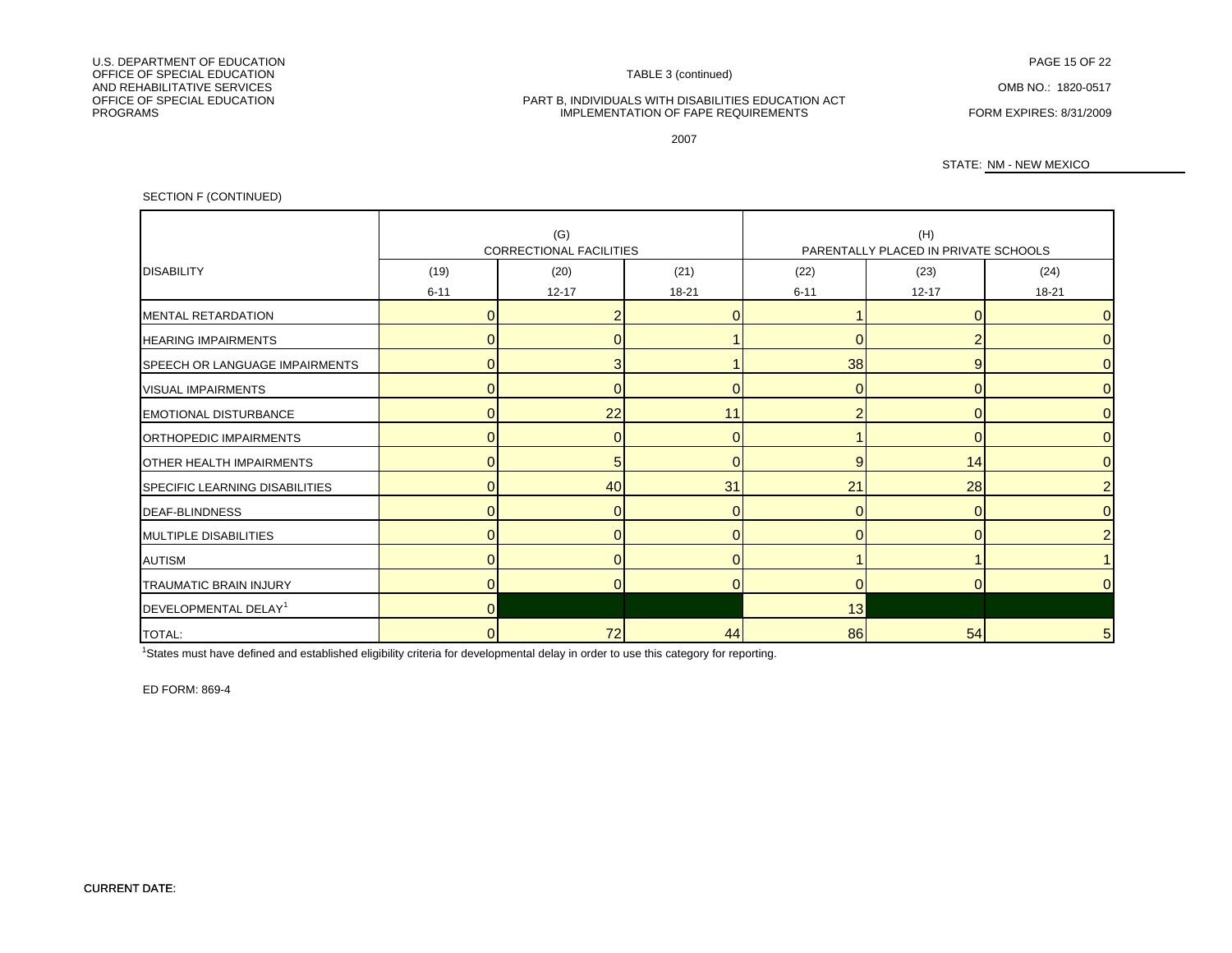IMPLEMENTATION OF FAPE REQUIREMENTS FORM EXPIRES: 8/31/2009

2007

#### STATE: NM - NEW MEXICO

SECTION F (CONTINUED)

|                                       | (G)      |                                |           | (H)      |                                      |                 |  |  |
|---------------------------------------|----------|--------------------------------|-----------|----------|--------------------------------------|-----------------|--|--|
|                                       |          | <b>CORRECTIONAL FACILITIES</b> |           |          | PARENTALLY PLACED IN PRIVATE SCHOOLS |                 |  |  |
| <b>IDISABILITY</b>                    | (19)     | (20)                           | (21)      | (22)     | (23)                                 | (24)            |  |  |
|                                       | $6 - 11$ | $12 - 17$                      | $18 - 21$ | $6 - 11$ | $12 - 17$                            | $18 - 21$       |  |  |
| <b>IMENTAL RETARDATION</b>            | $\Omega$ |                                |           |          | $\Omega$                             | $\overline{0}$  |  |  |
| <b>HEARING IMPAIRMENTS</b>            | $\Omega$ | $\Omega$                       |           |          |                                      | $\overline{0}$  |  |  |
| <b>SPEECH OR LANGUAGE IMPAIRMENTS</b> | $\Omega$ | 3                              |           | 38       | 9                                    | $\overline{0}$  |  |  |
| <b>VISUAL IMPAIRMENTS</b>             | $\Omega$ | $\Omega$                       |           |          | $\Omega$                             | $\overline{0}$  |  |  |
| <b>EMOTIONAL DISTURBANCE</b>          | $\Omega$ | 22                             | 11        |          | $\Omega$                             | $\overline{0}$  |  |  |
| ORTHOPEDIC IMPAIRMENTS                | $\Omega$ | $\Omega$                       |           |          |                                      | $\overline{0}$  |  |  |
| <b>OTHER HEALTH IMPAIRMENTS</b>       | 0        | 5                              |           | 9        | 14                                   | $\overline{0}$  |  |  |
| <b>SPECIFIC LEARNING DISABILITIES</b> | $\Omega$ | 40                             | 31        | 21       | 28                                   | $\overline{2}$  |  |  |
| <b>IDEAF-BLINDNESS</b>                | $\Omega$ | $\Omega$                       | $\Omega$  | $\Omega$ | $\overline{0}$                       | $\overline{0}$  |  |  |
| <b>MULTIPLE DISABILITIES</b>          | $\Omega$ | $\Omega$                       |           |          | $\Omega$                             | $\overline{2}$  |  |  |
| <b>AUTISM</b>                         | $\Omega$ | $\Omega$                       | $\Omega$  |          |                                      |                 |  |  |
| <b>TRAUMATIC BRAIN INJURY</b>         | $\Omega$ | $\Omega$                       |           | $\Omega$ | $\Omega$                             | $\overline{0}$  |  |  |
| DEVELOPMENTAL DELAY <sup>1</sup>      | $\Omega$ |                                |           | 13       |                                      |                 |  |  |
| <b>TOTAL:</b>                         | 0        | 72                             | 44        | 86       | 54                                   | $5\overline{)}$ |  |  |

<sup>1</sup>States must have defined and established eligibility criteria for developmental delay in order to use this category for reporting.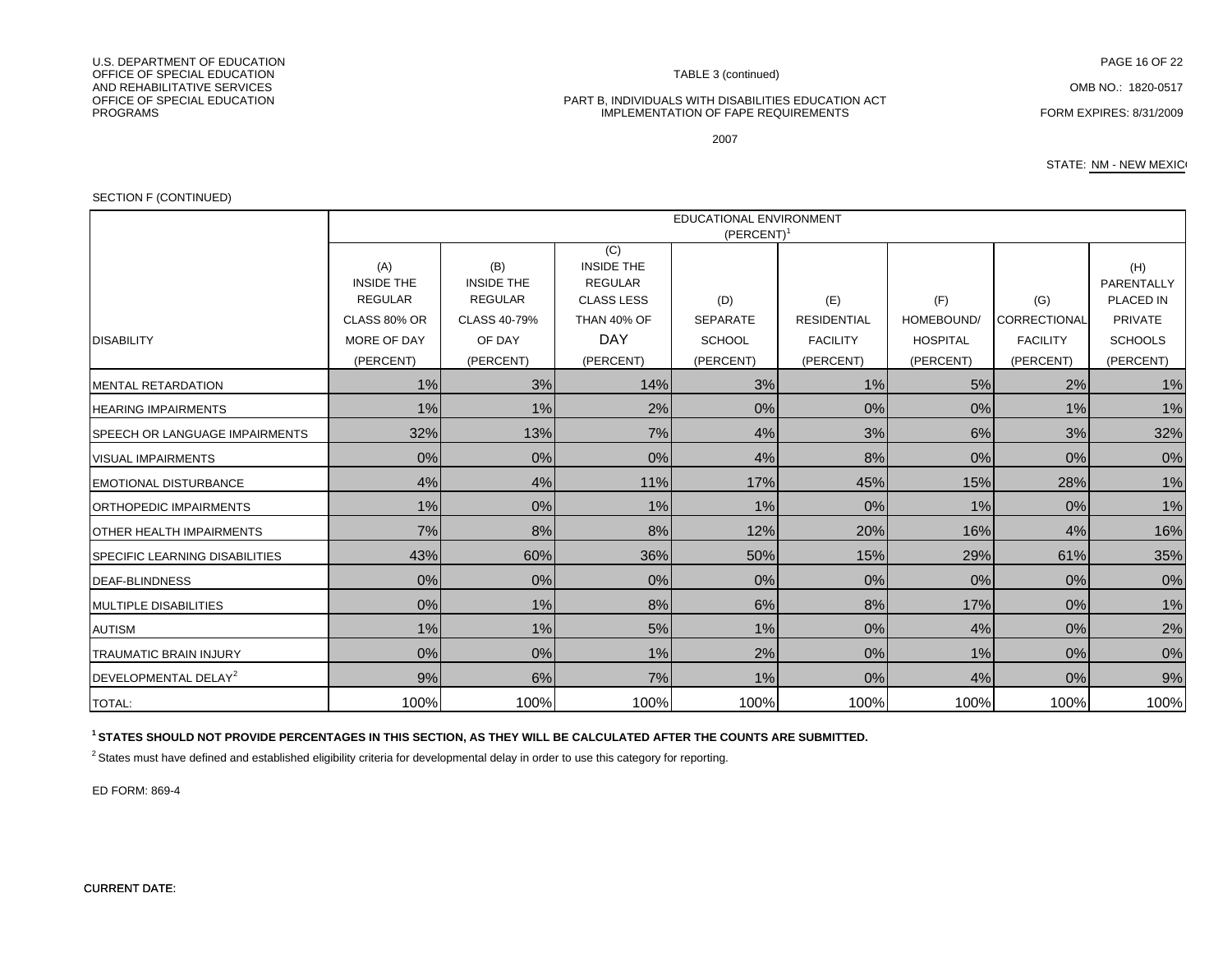U.S. DEPARTMENT OF EDUCATIONN FAGE 16 OF 22 OFFICE OF SPECIAL EDUCATIONAND REHABILITATIVE SERVICESAND REHABILITATIVE SERVICES COMB NO.: 1820-0517<br>OFFICE OF SPECIAL EDUCATION COMB NO.: 1820-0517 PROGRAMS

#### TABLE 3 (continued)

#### PART B, INDIVIDUALS WITH DISABILITIES EDUCATION ACT IMPLEMENTATION OF FAPE REQUIREMENTS FORM EXPIRES: 8/31/2009

STATE: NM - NEW MEXICO

#### SECTION F (CONTINUED)

|                                       | <b>EDUCATIONAL ENVIRONMENT</b><br>(PERCENT) |                          |                                            |                 |                    |                 |                 |                   |
|---------------------------------------|---------------------------------------------|--------------------------|--------------------------------------------|-----------------|--------------------|-----------------|-----------------|-------------------|
|                                       | (A)<br><b>INSIDE THE</b>                    | (B)<br><b>INSIDE THE</b> | (C)<br><b>INSIDE THE</b><br><b>REGULAR</b> |                 |                    |                 |                 | (H)<br>PARENTALLY |
|                                       | <b>REGULAR</b>                              | <b>REGULAR</b>           | <b>CLASS LESS</b>                          | (D)             | (E)                | (F)             | (G)             | PLACED IN         |
|                                       | CLASS 80% OR                                | CLASS 40-79%             | <b>THAN 40% OF</b>                         | <b>SEPARATE</b> | <b>RESIDENTIAL</b> | HOMEBOUND/      | CORRECTIONAL    | <b>PRIVATE</b>    |
| <b>DISABILITY</b>                     | MORE OF DAY                                 | OF DAY                   | <b>DAY</b>                                 | <b>SCHOOL</b>   | <b>FACILITY</b>    | <b>HOSPITAL</b> | <b>FACILITY</b> | <b>SCHOOLS</b>    |
|                                       | (PERCENT)                                   | (PERCENT)                | (PERCENT)                                  | (PERCENT)       | (PERCENT)          | (PERCENT)       | (PERCENT)       | (PERCENT)         |
| <b>MENTAL RETARDATION</b>             | 1%                                          | 3%                       | 14%                                        | 3%              | 1%                 | 5%              | 2%              | 1%                |
| <b>HEARING IMPAIRMENTS</b>            | 1%                                          | 1%                       | 2%                                         | $0\%$           | 0%                 | 0%              | 1%              | 1%                |
| <b>SPEECH OR LANGUAGE IMPAIRMENTS</b> | 32%                                         | 13%                      | 7%                                         | 4%              | 3%                 | 6%              | 3%              | 32%               |
| <b>VISUAL IMPAIRMENTS</b>             | 0%                                          | 0%                       | 0%                                         | 4%              | 8%                 | 0%              | 0%              | 0%                |
| <b>EMOTIONAL DISTURBANCE</b>          | 4%                                          | 4%                       | 11%                                        | 17%             | 45%                | 15%             | 28%             | 1%                |
| ORTHOPEDIC IMPAIRMENTS                | 1%                                          | 0%                       | 1%                                         | 1%              | 0%                 | 1%              | 0%              | 1%                |
| <b>OTHER HEALTH IMPAIRMENTS</b>       | 7%                                          | 8%                       | 8%                                         | 12%             | 20%                | 16%             | 4%              | 16%               |
| <b>SPECIFIC LEARNING DISABILITIES</b> | 43%                                         | 60%                      | 36%                                        | 50%             | 15%                | 29%             | 61%             | 35%               |
| <b>DEAF-BLINDNESS</b>                 | 0%                                          | 0%                       | 0%                                         | $0\%$           | 0%                 | 0%              | 0%              | 0%                |
| <b>MULTIPLE DISABILITIES</b>          | 0%                                          | 1%                       | 8%                                         | 6%              | 8%                 | 17%             | 0%              | 1%                |
| <b>AUTISM</b>                         | $1\%$                                       | 1%                       | 5%                                         | 1%              | 0%                 | 4%              | $0\%$           | 2%                |
| <b>TRAUMATIC BRAIN INJURY</b>         | 0%                                          | 0%                       | 1%                                         | 2%              | 0%                 | 1%              | $0\%$           | 0%                |
| DEVELOPMENTAL DELAY <sup>2</sup>      | 9%                                          | 6%                       | 7%                                         | 1%              | 0%                 | 4%              | 0%              | 9%                |
| <b>TOTAL:</b>                         | 100%                                        | 100%                     | 100%                                       | 100%            | 100%               | 100%            | 100%            | 100%              |

**1 STATES SHOULD NOT PROVIDE PERCENTAGES IN THIS SECTION, AS THEY WILL BE CALCULATED AFTER THE COUNTS ARE SUBMITTED.**

 $2$  States must have defined and established eligibility criteria for developmental delay in order to use this category for reporting.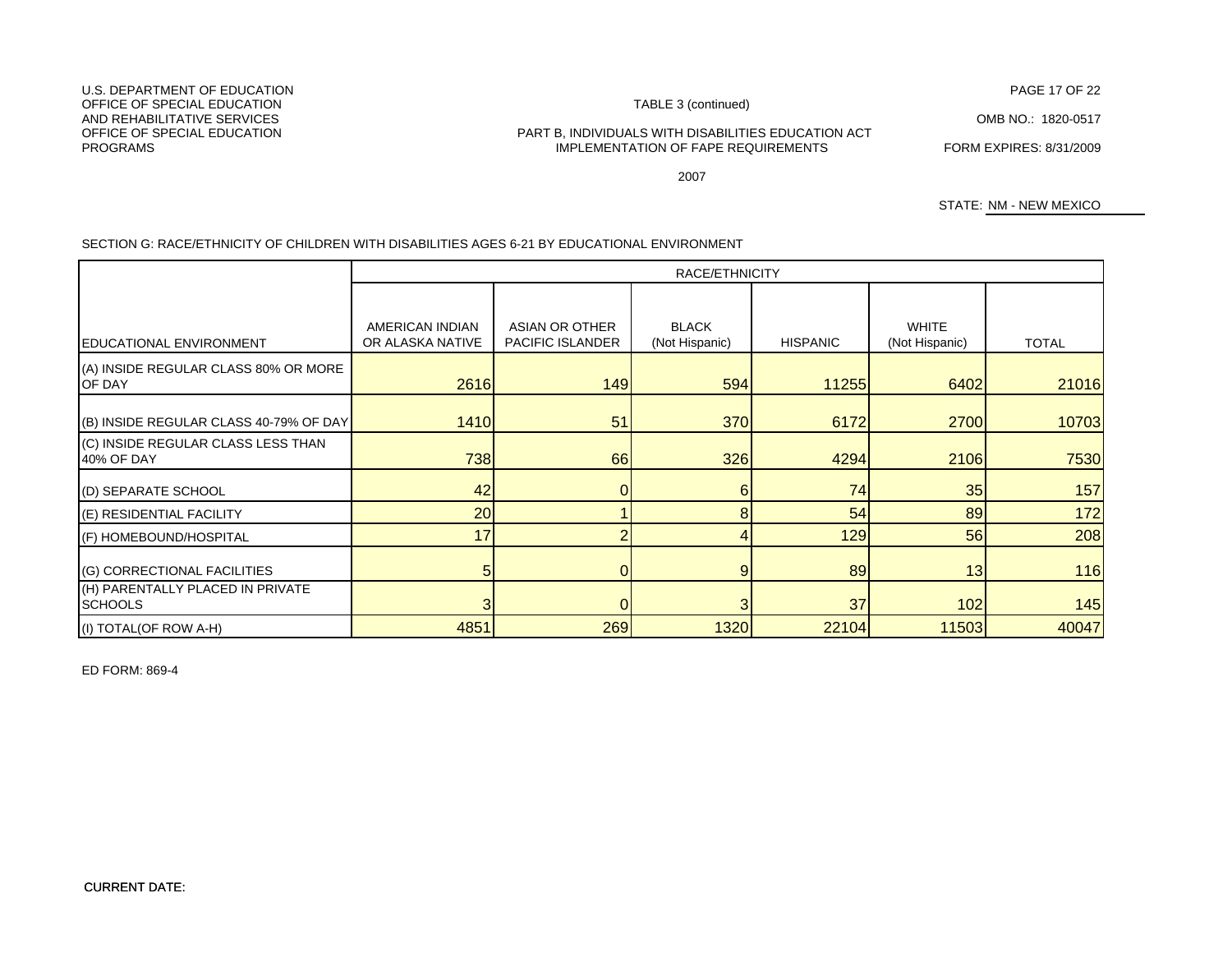PAGE 17 OF 22<br>TABLE 3 (continued)

#### PART B, INDIVIDUALS WITH DISABILITIES EDUCATION ACT IMPLEMENTATION OF FAPE REQUIREMENTS FORM EXPIRES: 8/31/2009

2007

STATE: NM - NEW MEXICO

### SECTION G: RACE/ETHNICITY OF CHILDREN WITH DISABILITIES AGES 6-21 BY EDUCATIONAL ENVIRONMENT

|                                                                 | RACE/ETHNICITY                      |                                    |                                |                 |                                |              |
|-----------------------------------------------------------------|-------------------------------------|------------------------------------|--------------------------------|-----------------|--------------------------------|--------------|
|                                                                 |                                     |                                    |                                |                 |                                |              |
| <b>EDUCATIONAL ENVIRONMENT</b>                                  | AMERICAN INDIAN<br>OR ALASKA NATIVE | ASIAN OR OTHER<br>PACIFIC ISLANDER | <b>BLACK</b><br>(Not Hispanic) | <b>HISPANIC</b> | <b>WHITE</b><br>(Not Hispanic) | <b>TOTAL</b> |
| (A) INSIDE REGULAR CLASS 80% OR MORE<br>OF DAY                  | 2616                                | 149                                | 594                            | 11255           | 6402                           | 21016        |
| (B) INSIDE REGULAR CLASS 40-79% OF DAY                          | 1410                                | 51                                 | <b>370</b>                     | 6172            | 2700                           | 10703        |
| (C) INSIDE REGULAR CLASS LESS THAN<br>40% OF DAY                | 738                                 | 66                                 | 326                            | 4294            | 2106                           | 7530         |
| (D) SEPARATE SCHOOL                                             | 42                                  |                                    | 6                              | 74              | 35                             | 157          |
| (E) RESIDENTIAL FACILITY                                        | 20                                  |                                    | 8                              | 54              | 89                             | 172          |
| (F) HOMEBOUND/HOSPITAL                                          | 17                                  | 2                                  |                                | 129             | 56                             | 208          |
| (G) CORRECTIONAL FACILITIES<br>(H) PARENTALLY PLACED IN PRIVATE | 5                                   | 01                                 | 9                              | 89              | 13                             | 116          |
| <b>SCHOOLS</b>                                                  |                                     | ΩI                                 |                                | 37              | 102                            | 145          |
| (I) TOTAL(OF ROW A-H)                                           | 4851                                | 269                                | 1320                           | 22104           | 11503                          | 40047        |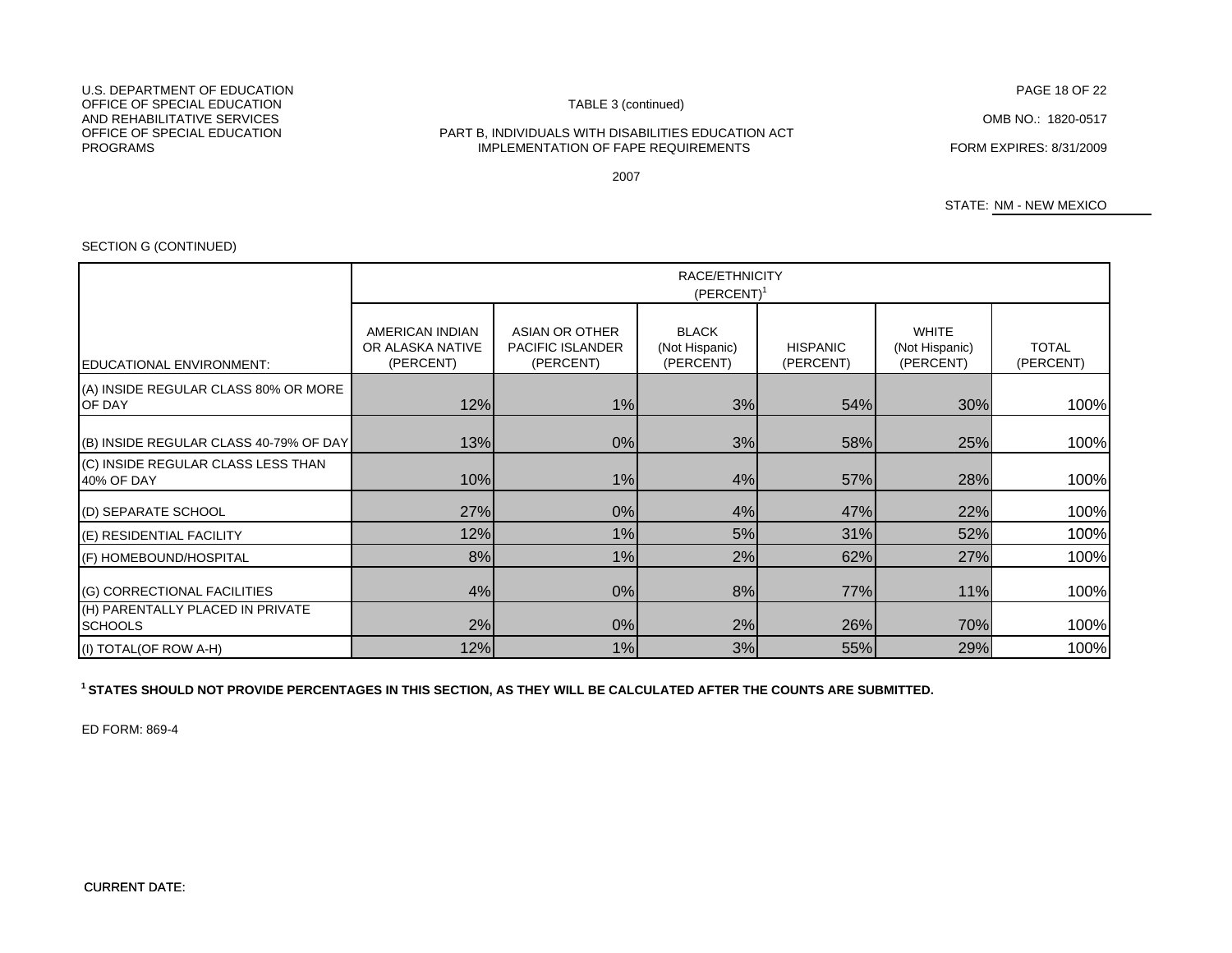#### U.S. DEPARTMENT OF EDUCATIONOFFICE OF SPECIAL EDUCATION AND REHABILITATIVE SERVICESOFFICE OF SPECIAL EDUCATIONPROGRAMS

#### TABLE 3 (continued)

#### FORM EXPIRES: 8/31/2009 IMPLEMENTATION OF FAPE REQUIREMENTSPART B, INDIVIDUALS WITH DISABILITIES EDUCATION ACT

2007

STATE: NM - NEW MEXICO

# SECTION G (CONTINUED)

|                                                    | RACE/ETHNICITY<br>$(PERCENT)^1$                  |                                                        |                                             |                              |                                             |                           |  |
|----------------------------------------------------|--------------------------------------------------|--------------------------------------------------------|---------------------------------------------|------------------------------|---------------------------------------------|---------------------------|--|
| EDUCATIONAL ENVIRONMENT:                           | AMERICAN INDIAN<br>OR ALASKA NATIVE<br>(PERCENT) | ASIAN OR OTHER<br><b>PACIFIC ISLANDER</b><br>(PERCENT) | <b>BLACK</b><br>(Not Hispanic)<br>(PERCENT) | <b>HISPANIC</b><br>(PERCENT) | <b>WHITE</b><br>(Not Hispanic)<br>(PERCENT) | <b>TOTAL</b><br>(PERCENT) |  |
| (A) INSIDE REGULAR CLASS 80% OR MORE<br>OF DAY     | 12%                                              | 1%                                                     | 3%                                          | 54%                          | 30%                                         | 100%                      |  |
| (B) INSIDE REGULAR CLASS 40-79% OF DAY             | 13%                                              | 0%                                                     | 3%                                          | 58%                          | 25%                                         | 100%                      |  |
| (C) INSIDE REGULAR CLASS LESS THAN<br>40% OF DAY   | 10%                                              | 1%                                                     | 4%                                          | 57%                          | 28%                                         | 100%                      |  |
| (D) SEPARATE SCHOOL                                | 27%                                              | 0%                                                     | 4%                                          | 47%                          | 22%                                         | 100%                      |  |
| (E) RESIDENTIAL FACILITY                           | 12%                                              | 1%                                                     | 5%                                          | 31%                          | 52%                                         | 100%                      |  |
| (F) HOMEBOUND/HOSPITAL                             | 8%                                               | 1%                                                     | 2%                                          | 62%                          | 27%                                         | 100%                      |  |
| (G) CORRECTIONAL FACILITIES                        | 4%                                               | 0%                                                     | 8%                                          | 77%                          | 11%                                         | 100%                      |  |
| (H) PARENTALLY PLACED IN PRIVATE<br><b>SCHOOLS</b> | 2%                                               | 0%                                                     | 2%                                          | 26%                          | 70%                                         | 100%                      |  |
| (I) TOTAL(OF ROW A-H)                              | 12%                                              | 1%                                                     | 3%                                          | 55%                          | 29%                                         | 100%                      |  |

**1 STATES SHOULD NOT PROVIDE PERCENTAGES IN THIS SECTION, AS THEY WILL BE CALCULATED AFTER THE COUNTS ARE SUBMITTED.**

ED FORM: 869-4

PAGE 18 OF 22

OMB NO.: 1820-0517

CURRENT DATE: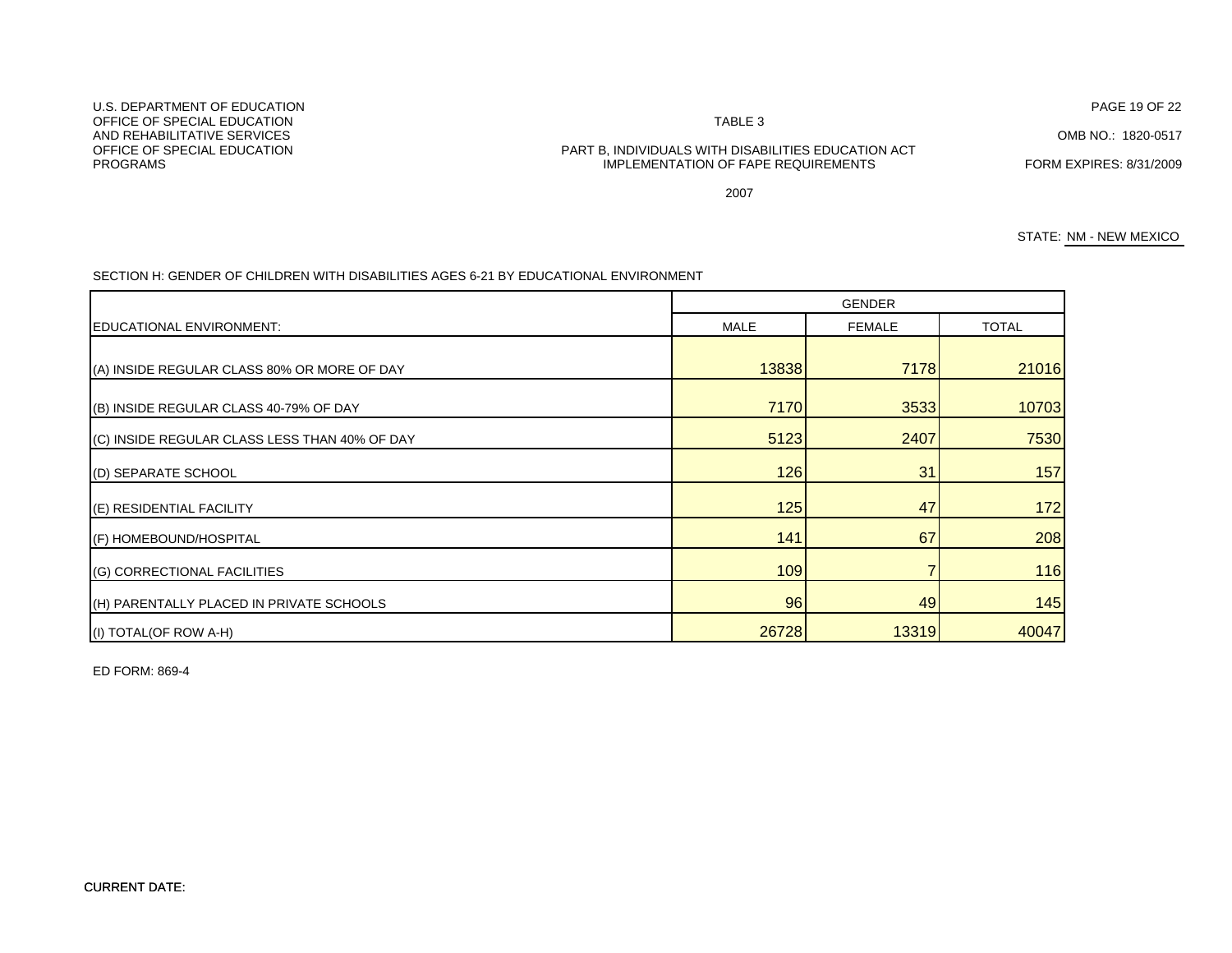U.S. DEPARTMENT OF EDUCATIONOFFICE OF SPECIAL EDUCATIONAND REHABILITATIVE SERVICESPROGRAMS

# OFFICE OF SPECIAL EDUCATION PART B, INDIVIDUALS WITH DISABILITIES EDUCATION ACT IMPLEMENTATION OF FAPE REQUIREMENTS FORM EXPIRES: 8/31/2009

TABLE 3

2007

STATE: NM - NEW MEXICO

SECTION H: GENDER OF CHILDREN WITH DISABILITIES AGES 6-21 BY EDUCATIONAL ENVIRONMENT

|                                               | <b>GENDER</b> |               |              |  |  |
|-----------------------------------------------|---------------|---------------|--------------|--|--|
| EDUCATIONAL ENVIRONMENT:                      | <b>MALE</b>   | <b>FEMALE</b> | <b>TOTAL</b> |  |  |
| (A) INSIDE REGULAR CLASS 80% OR MORE OF DAY   | 13838         | 7178          | 21016        |  |  |
| (B) INSIDE REGULAR CLASS 40-79% OF DAY        | 7170          | 3533          | 10703        |  |  |
| (C) INSIDE REGULAR CLASS LESS THAN 40% OF DAY | 5123          | 2407          | 7530         |  |  |
| (D) SEPARATE SCHOOL                           | 126           | 31            | 157          |  |  |
| (E) RESIDENTIAL FACILITY                      | 125           | 47            | 172          |  |  |
| (F) HOMEBOUND/HOSPITAL                        | 141           | 67            | 208          |  |  |
| <b>(G) CORRECTIONAL FACILITIES</b>            | 109           |               | 116          |  |  |
| (H) PARENTALLY PLACED IN PRIVATE SCHOOLS      | <b>96</b>     | 49            | 145          |  |  |
| (I) TOTAL(OF ROW A-H)                         | 26728         | 13319         | 40047        |  |  |

ED FORM: 869-4

PAGE 19 OF 22

OMB NO.: 1820-0517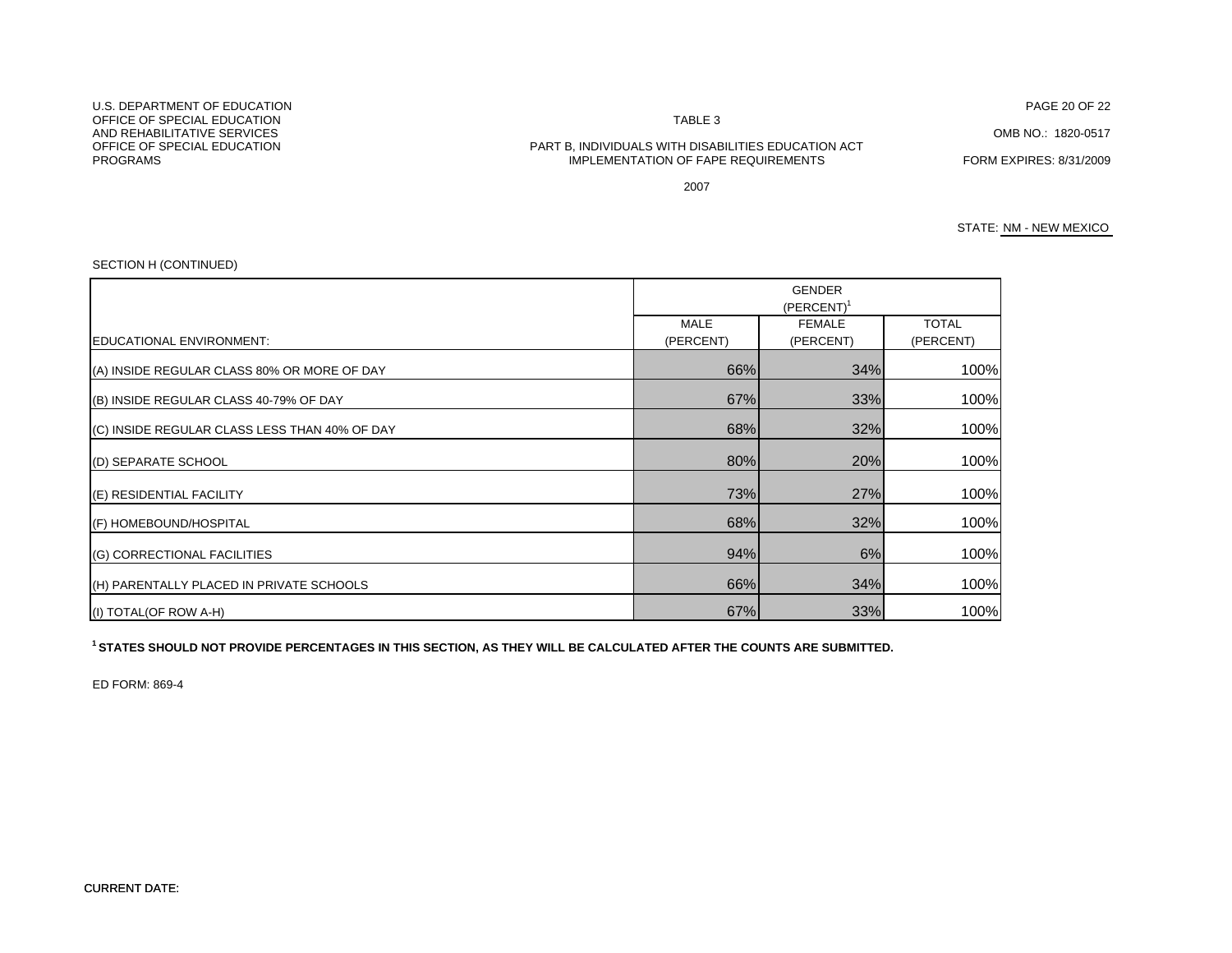N TABLE 3

#### OFFICE OF SPECIAL EDUCATION PART B, INDIVIDUALS WITH DISABILITIES EDUCATION ACT IMPLEMENTATION OF FAPE REQUIREMENTS FORM EXPIRES: 8/31/2009

PAGE 20 OF 22

OMB NO.: 1820-0517

2007

#### STATE: NM - NEW MEXICO

#### SECTION H (CONTINUED)

|                                               | <b>GENDER</b><br>$(PERCENT)^T$ |               |              |
|-----------------------------------------------|--------------------------------|---------------|--------------|
|                                               | <b>MALE</b>                    | <b>FEMALE</b> | <b>TOTAL</b> |
| EDUCATIONAL ENVIRONMENT:                      | (PERCENT)                      | (PERCENT)     | (PERCENT)    |
| (A) INSIDE REGULAR CLASS 80% OR MORE OF DAY   | 66%                            | 34%           | 100%         |
| (B) INSIDE REGULAR CLASS 40-79% OF DAY        | 67%                            | 33%           | 100%         |
| (C) INSIDE REGULAR CLASS LESS THAN 40% OF DAY | 68%                            | 32%           | 100%         |
| (D) SEPARATE SCHOOL                           | 80%                            | 20%           | 100%         |
| (E) RESIDENTIAL FACILITY                      | 73%                            | 27%           | 100%         |
| (F) HOMEBOUND/HOSPITAL                        | 68%                            | 32%           | 100%         |
| (G) CORRECTIONAL FACILITIES                   | 94%                            | 6%            | 100%         |
| (H) PARENTALLY PLACED IN PRIVATE SCHOOLS      | 66%                            | 34%           | 100%         |
| (I) TOTAL(OF ROW A-H)                         | 67%                            | 33%           | 100%         |

**1 STATES SHOULD NOT PROVIDE PERCENTAGES IN THIS SECTION, AS THEY WILL BE CALCULATED AFTER THE COUNTS ARE SUBMITTED.**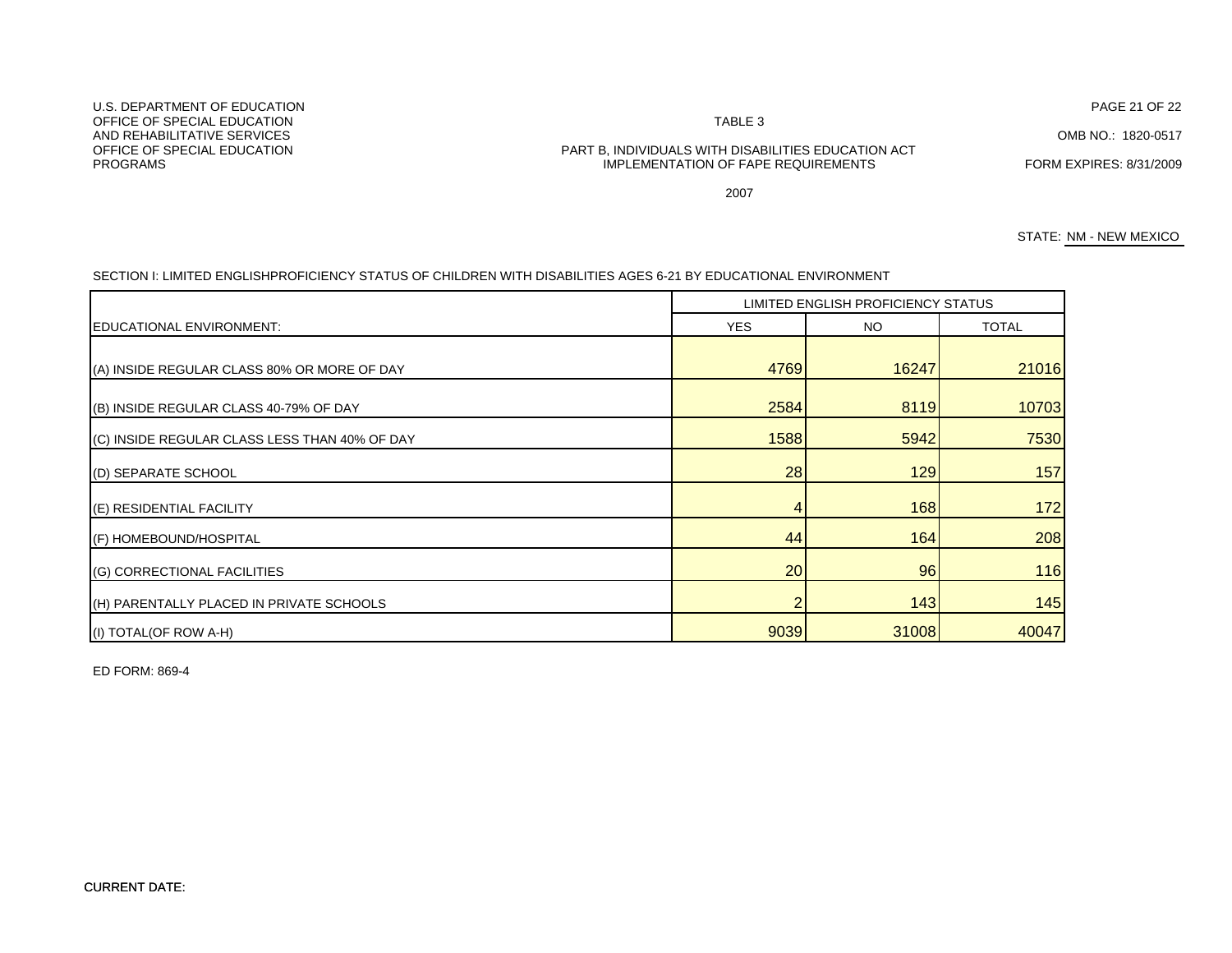U.S. DEPARTMENT OF EDUCATIONOFFICE OF SPECIAL EDUCATIONAND REHABILITATIVE SERVICESPROGRAMS

# OFFICE OF SPECIAL EDUCATION PART B, INDIVIDUALS WITH DISABILITIES EDUCATION ACT IMPLEMENTATION OF FAPE REQUIREMENTS FORM EXPIRES: 8/31/2009

TABLE 3

2007

STATE: NM - NEW MEXICO

|                                               | LIMITED ENGLISH PROFICIENCY STATUS |       |              |
|-----------------------------------------------|------------------------------------|-------|--------------|
| EDUCATIONAL ENVIRONMENT:                      | <b>YES</b>                         | NO.   | <b>TOTAL</b> |
| (A) INSIDE REGULAR CLASS 80% OR MORE OF DAY   | 4769                               | 16247 | 21016        |
| (B) INSIDE REGULAR CLASS 40-79% OF DAY        | 2584                               | 8119  | 10703        |
| (C) INSIDE REGULAR CLASS LESS THAN 40% OF DAY | 1588                               | 5942  | 7530         |
| (D) SEPARATE SCHOOL                           | 28                                 | 129   | 157          |
| (E) RESIDENTIAL FACILITY                      | 4                                  | 168   | 172          |
| (F) HOMEBOUND/HOSPITAL                        | 44                                 | 164   | 208          |
| (G) CORRECTIONAL FACILITIES                   | 20                                 | 96    | 116          |
| (H) PARENTALLY PLACED IN PRIVATE SCHOOLS      | $\overline{2}$                     | 143   | 145          |
| (I) TOTAL(OF ROW A-H)                         | 9039                               | 31008 | 40047        |

SECTION I: LIMITED ENGLISHPROFICIENCY STATUS OF CHILDREN WITH DISABILITIES AGES 6-21 BY EDUCATIONAL ENVIRONMENT

ED FORM: 869-4

PAGE 21 OF 22

OMB NO.: 1820-0517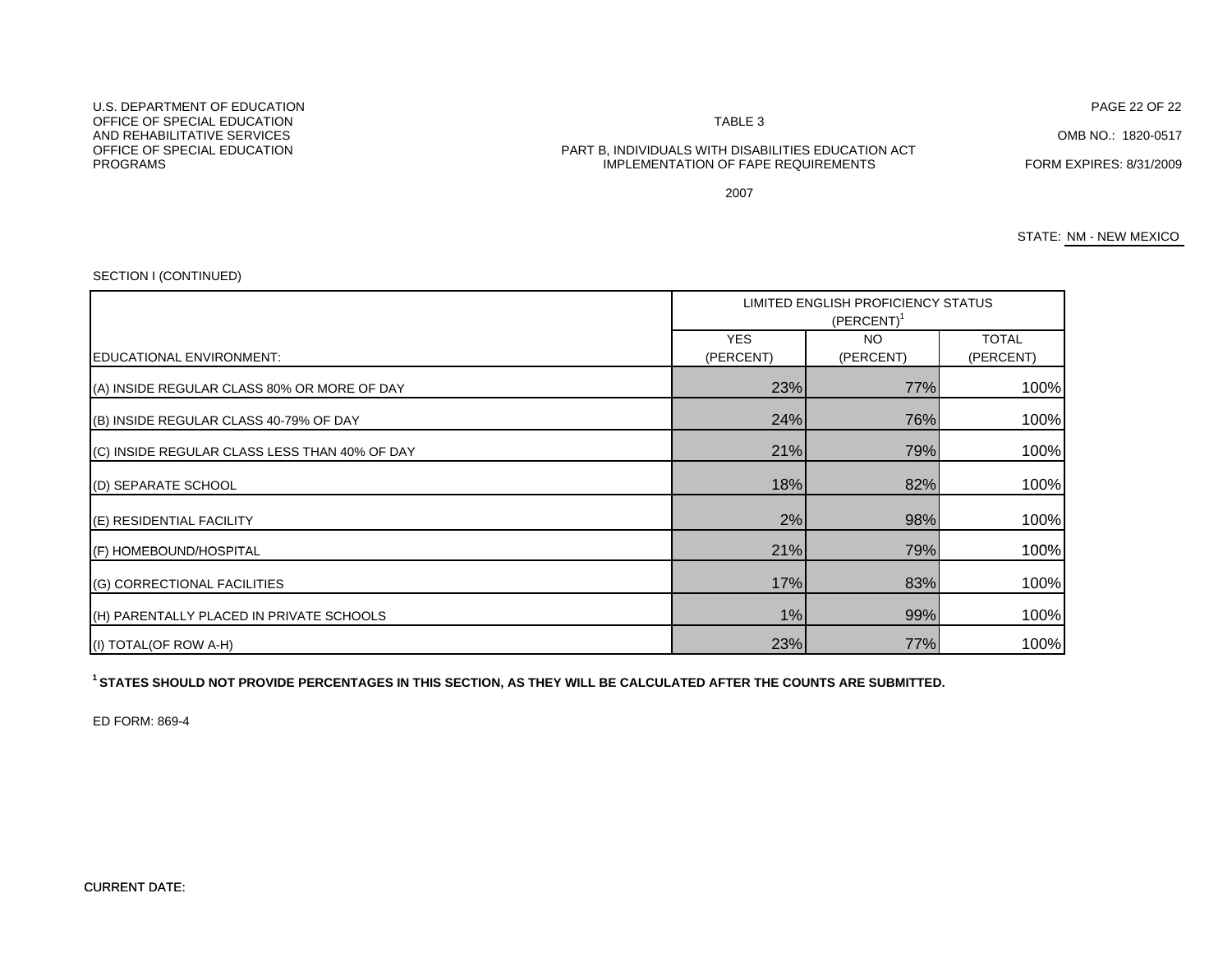# U.S. DEPARTMENT OF EDUCATIONOFFICE OF SPECIAL EDUCATIONAND REHABILITATIVE SERVICESPROGRAMS

#### TABLE 3

PAGE 22 OF 22

OMB NO.: 1820-0517

## OFFICE OF SPECIAL EDUCATION PART B, INDIVIDUALS WITH DISABILITIES EDUCATION ACT IMPLEMENTATION OF FAPE REQUIREMENTS FORM EXPIRES: 8/31/2009

2007

STATE: NM - NEW MEXICO

#### YES **NO** NO TOTAL (PERCENT) (PERCENT) (PERCENT) 23% 77% 100%24% 76% 100%21% 79% 100%18% 82% 100%2% 98% 100%21% 79% 100% LIMITED ENGLISH PROFICIENCY STATUS (PERCENT)<sup>1</sup> EDUCATIONAL ENVIRONMENT: (A) INSIDE REGULAR CLASS 80% OR MORE OF DAY (B) INSIDE REGULAR CLASS 40-79% OF DAY (C) INSIDE REGULAR CLASS LESS THAN 40% OF DAY (D) SEPARATE SCHOOL (E) RESIDENTIAL FACILITY (F) HOMEBOUND/HOSPITAL 17% 83% 100%1% 99% 100%23% 77% 100%(H) PARENTALLY PLACED IN PRIVATE SCHOOLS (I) TOTAL(OF ROW A-H) (G) CORRECTIONAL FACILITIES

**1 STATES SHOULD NOT PROVIDE PERCENTAGES IN THIS SECTION, AS THEY WILL BE CALCULATED AFTER THE COUNTS ARE SUBMITTED.**

ED FORM: 869-4

### SECTION I (CONTINUED)

CURRENT DATE: